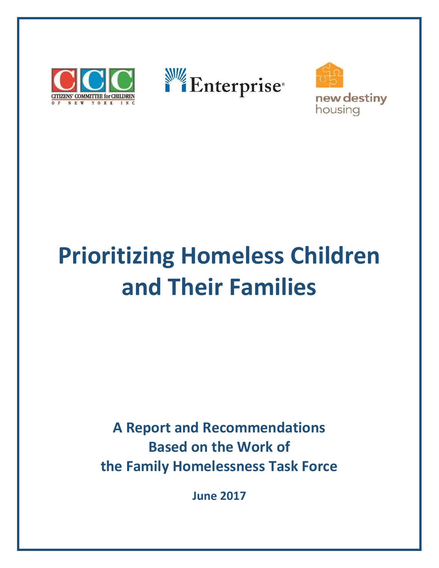





# **Prioritizing Homeless Children and Their Families**

**A Report and Recommendations Based on the Work of the Family Homelessness Task Force**

**June 2017**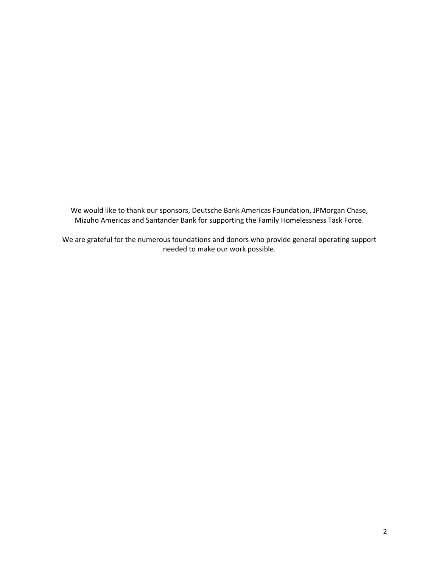We would like to thank our sponsors, Deutsche Bank Americas Foundation, JPMorgan Chase, Mizuho Americas and Santander Bank for supporting the Family Homelessness Task Force.

We are grateful for the numerous foundations and donors who provide general operating support needed to make our work possible.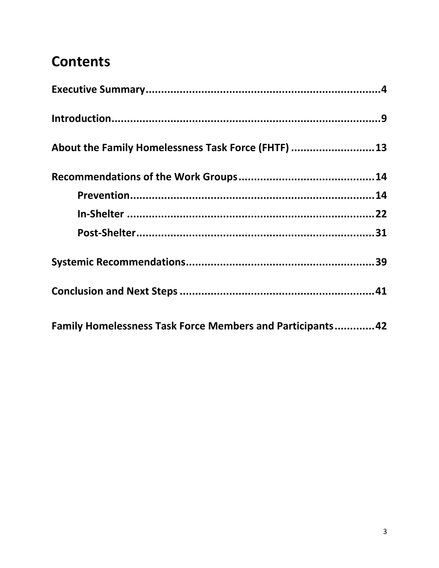## **Contents**

| About the Family Homelessness Task Force (FHTF)  13               |
|-------------------------------------------------------------------|
|                                                                   |
|                                                                   |
|                                                                   |
|                                                                   |
|                                                                   |
|                                                                   |
| <b>Family Homelessness Task Force Members and Participants 42</b> |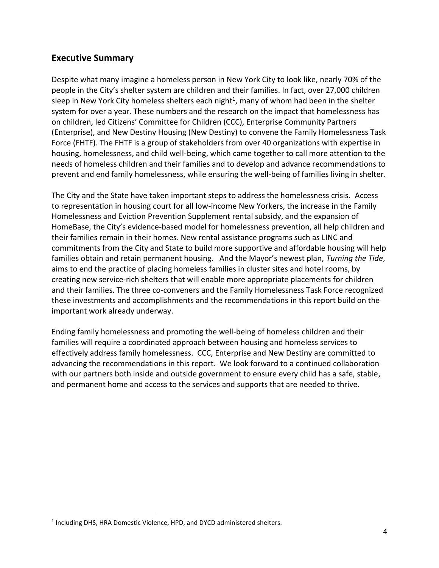#### **Executive Summary**

Despite what many imagine a homeless person in New York City to look like, nearly 70% of the people in the City's shelter system are children and their families. In fact, over 27,000 children sleep in New York City homeless shelters each night<sup>1</sup>, many of whom had been in the shelter system for over a year. These numbers and the research on the impact that homelessness has on children, led Citizens' Committee for Children (CCC), Enterprise Community Partners (Enterprise), and New Destiny Housing (New Destiny) to convene the Family Homelessness Task Force (FHTF). The FHTF is a group of stakeholders from over 40 organizations with expertise in housing, homelessness, and child well-being, which came together to call more attention to the needs of homeless children and their families and to develop and advance recommendations to prevent and end family homelessness, while ensuring the well-being of families living in shelter.

The City and the State have taken important steps to address the homelessness crisis. Access to representation in housing court for all low-income New Yorkers, the increase in the Family Homelessness and Eviction Prevention Supplement rental subsidy, and the expansion of HomeBase, the City's evidence-based model for homelessness prevention, all help children and their families remain in their homes. New rental assistance programs such as LINC and commitments from the City and State to build more supportive and affordable housing will help families obtain and retain permanent housing. And the Mayor's newest plan, *Turning the Tide*, aims to end the practice of placing homeless families in cluster sites and hotel rooms, by creating new service-rich shelters that will enable more appropriate placements for children and their families. The three co-conveners and the Family Homelessness Task Force recognized these investments and accomplishments and the recommendations in this report build on the important work already underway.

Ending family homelessness and promoting the well-being of homeless children and their families will require a coordinated approach between housing and homeless services to effectively address family homelessness. CCC, Enterprise and New Destiny are committed to advancing the recommendations in this report. We look forward to a continued collaboration with our partners both inside and outside government to ensure every child has a safe, stable, and permanent home and access to the services and supports that are needed to thrive.

l

<sup>&</sup>lt;sup>1</sup> Including DHS, HRA Domestic Violence, HPD, and DYCD administered shelters.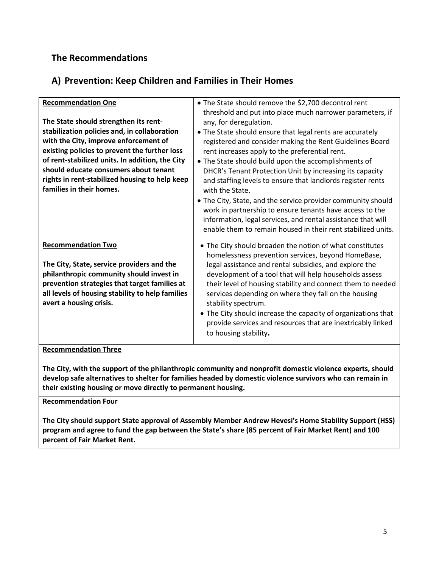#### **The Recommendations**

#### **A) Prevention: Keep Children and Families in Their Homes**

| <b>Recommendation One</b><br>The State should strengthen its rent-<br>stabilization policies and, in collaboration<br>with the City, improve enforcement of<br>existing policies to prevent the further loss<br>of rent-stabilized units. In addition, the City<br>should educate consumers about tenant<br>rights in rent-stabilized housing to help keep<br>families in their homes. | • The State should remove the \$2,700 decontrol rent<br>threshold and put into place much narrower parameters, if<br>any, for deregulation.<br>• The State should ensure that legal rents are accurately<br>registered and consider making the Rent Guidelines Board<br>rent increases apply to the preferential rent.<br>• The State should build upon the accomplishments of<br>DHCR's Tenant Protection Unit by increasing its capacity<br>and staffing levels to ensure that landlords register rents<br>with the State.<br>• The City, State, and the service provider community should<br>work in partnership to ensure tenants have access to the<br>information, legal services, and rental assistance that will<br>enable them to remain housed in their rent stabilized units. |
|----------------------------------------------------------------------------------------------------------------------------------------------------------------------------------------------------------------------------------------------------------------------------------------------------------------------------------------------------------------------------------------|------------------------------------------------------------------------------------------------------------------------------------------------------------------------------------------------------------------------------------------------------------------------------------------------------------------------------------------------------------------------------------------------------------------------------------------------------------------------------------------------------------------------------------------------------------------------------------------------------------------------------------------------------------------------------------------------------------------------------------------------------------------------------------------|
| <b>Recommendation Two</b><br>The City, State, service providers and the<br>philanthropic community should invest in<br>prevention strategies that target families at<br>all levels of housing stability to help families<br>avert a housing crisis.                                                                                                                                    | • The City should broaden the notion of what constitutes<br>homelessness prevention services, beyond HomeBase,<br>legal assistance and rental subsidies, and explore the<br>development of a tool that will help households assess<br>their level of housing stability and connect them to needed<br>services depending on where they fall on the housing<br>stability spectrum.<br>• The City should increase the capacity of organizations that<br>provide services and resources that are inextricably linked<br>to housing stability.                                                                                                                                                                                                                                                |

#### **Recommendation Three**

**The City, with the support of the philanthropic community and nonprofit domestic violence experts, should develop safe alternatives to shelter for families headed by domestic violence survivors who can remain in their existing housing or move directly to permanent housing.**

**Recommendation Four**

**The City should support State approval of Assembly Member Andrew Hevesi's Home Stability Support (HSS) program and agree to fund the gap between the State's share (85 percent of Fair Market Rent) and 100 percent of Fair Market Rent.**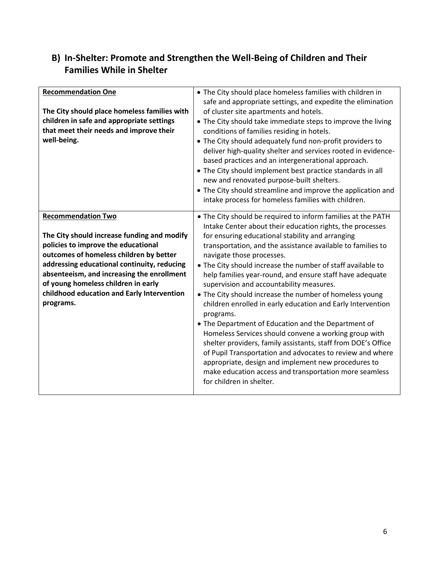#### **B) In-Shelter: Promote and Strengthen the Well-Being of Children and Their Families While in Shelter**

| <b>Recommendation One</b><br>The City should place homeless families with<br>children in safe and appropriate settings<br>that meet their needs and improve their<br>well-being.                                                                                                                                                                          | • The City should place homeless families with children in<br>safe and appropriate settings, and expedite the elimination<br>of cluster site apartments and hotels.<br>• The City should take immediate steps to improve the living<br>conditions of families residing in hotels.<br>• The City should adequately fund non-profit providers to<br>deliver high-quality shelter and services rooted in evidence-<br>based practices and an intergenerational approach.<br>• The City should implement best practice standards in all<br>new and renovated purpose-built shelters.<br>• The City should streamline and improve the application and<br>intake process for homeless families with children.                                                                                                                                                                                                                                                                            |
|-----------------------------------------------------------------------------------------------------------------------------------------------------------------------------------------------------------------------------------------------------------------------------------------------------------------------------------------------------------|------------------------------------------------------------------------------------------------------------------------------------------------------------------------------------------------------------------------------------------------------------------------------------------------------------------------------------------------------------------------------------------------------------------------------------------------------------------------------------------------------------------------------------------------------------------------------------------------------------------------------------------------------------------------------------------------------------------------------------------------------------------------------------------------------------------------------------------------------------------------------------------------------------------------------------------------------------------------------------|
| <b>Recommendation Two</b><br>The City should increase funding and modify<br>policies to improve the educational<br>outcomes of homeless children by better<br>addressing educational continuity, reducing<br>absenteeism, and increasing the enrollment<br>of young homeless children in early<br>childhood education and Early Intervention<br>programs. | • The City should be required to inform families at the PATH<br>Intake Center about their education rights, the processes<br>for ensuring educational stability and arranging<br>transportation, and the assistance available to families to<br>navigate those processes.<br>. The City should increase the number of staff available to<br>help families year-round, and ensure staff have adequate<br>supervision and accountability measures.<br>• The City should increase the number of homeless young<br>children enrolled in early education and Early Intervention<br>programs.<br>• The Department of Education and the Department of<br>Homeless Services should convene a working group with<br>shelter providers, family assistants, staff from DOE's Office<br>of Pupil Transportation and advocates to review and where<br>appropriate, design and implement new procedures to<br>make education access and transportation more seamless<br>for children in shelter. |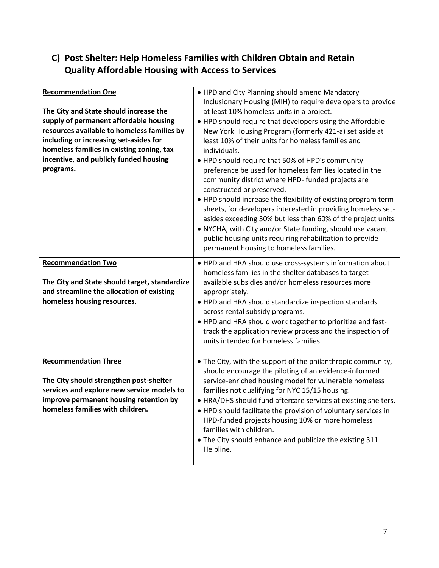#### **C) Post Shelter: Help Homeless Families with Children Obtain and Retain Quality Affordable Housing with Access to Services**

| <b>Recommendation One</b><br>The City and State should increase the<br>supply of permanent affordable housing<br>resources available to homeless families by<br>including or increasing set-asides for<br>homeless families in existing zoning, tax<br>incentive, and publicly funded housing<br>programs. | . HPD and City Planning should amend Mandatory<br>Inclusionary Housing (MIH) to require developers to provide<br>at least 10% homeless units in a project.<br>. HPD should require that developers using the Affordable<br>New York Housing Program (formerly 421-a) set aside at<br>least 10% of their units for homeless families and<br>individuals.<br>• HPD should require that 50% of HPD's community<br>preference be used for homeless families located in the<br>community district where HPD- funded projects are<br>constructed or preserved.<br>• HPD should increase the flexibility of existing program term<br>sheets, for developers interested in providing homeless set-<br>asides exceeding 30% but less than 60% of the project units.<br>• NYCHA, with City and/or State funding, should use vacant<br>public housing units requiring rehabilitation to provide<br>permanent housing to homeless families. |
|------------------------------------------------------------------------------------------------------------------------------------------------------------------------------------------------------------------------------------------------------------------------------------------------------------|---------------------------------------------------------------------------------------------------------------------------------------------------------------------------------------------------------------------------------------------------------------------------------------------------------------------------------------------------------------------------------------------------------------------------------------------------------------------------------------------------------------------------------------------------------------------------------------------------------------------------------------------------------------------------------------------------------------------------------------------------------------------------------------------------------------------------------------------------------------------------------------------------------------------------------|
| <b>Recommendation Two</b><br>The City and State should target, standardize<br>and streamline the allocation of existing<br>homeless housing resources.                                                                                                                                                     | . HPD and HRA should use cross-systems information about<br>homeless families in the shelter databases to target<br>available subsidies and/or homeless resources more<br>appropriately.<br>• HPD and HRA should standardize inspection standards<br>across rental subsidy programs.<br>. HPD and HRA should work together to prioritize and fast-<br>track the application review process and the inspection of<br>units intended for homeless families.                                                                                                                                                                                                                                                                                                                                                                                                                                                                       |
| <b>Recommendation Three</b><br>The City should strengthen post-shelter<br>services and explore new service models to<br>improve permanent housing retention by<br>homeless families with children.                                                                                                         | • The City, with the support of the philanthropic community,<br>should encourage the piloting of an evidence-informed<br>service-enriched housing model for vulnerable homeless<br>families not qualifying for NYC 15/15 housing.<br>• HRA/DHS should fund aftercare services at existing shelters.<br>• HPD should facilitate the provision of voluntary services in<br>HPD-funded projects housing 10% or more homeless<br>families with children.<br>• The City should enhance and publicize the existing 311<br>Helpline.                                                                                                                                                                                                                                                                                                                                                                                                   |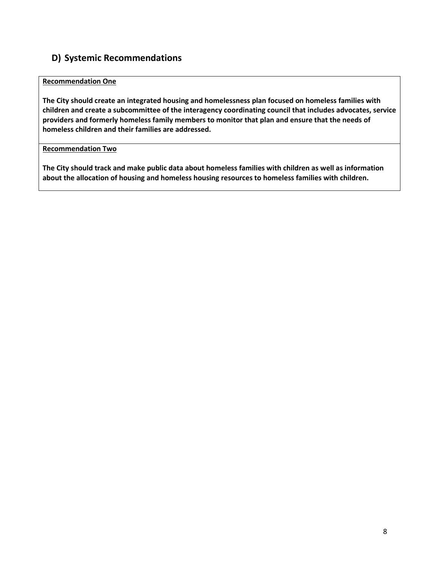#### **D) Systemic Recommendations**

#### **Recommendation One**

**The City should create an integrated housing and homelessness plan focused on homeless families with children and create a subcommittee of the interagency coordinating council that includes advocates, service providers and formerly homeless family members to monitor that plan and ensure that the needs of homeless children and their families are addressed.**

#### **Recommendation Two**

**The City should track and make public data about homeless families with children as well as information about the allocation of housing and homeless housing resources to homeless families with children.**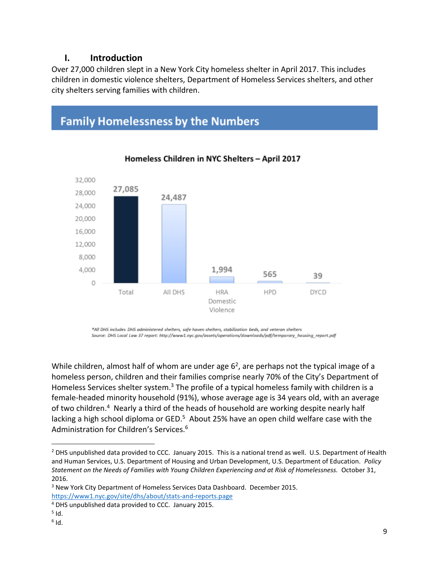#### **I. Introduction**

Over 27,000 children slept in a New York City homeless shelter in April 2017. This includes children in domestic violence shelters, Department of Homeless Services shelters, and other city shelters serving families with children.

### **Family Homelessness by the Numbers**



#### Homeless Children in NYC Shelters - April 2017

\*All DHS includes DHS administered shelters, safe haven shelters, stabilization beds, and veteran shelters Source: DHS Local Law 37 report: http://www1.nyc.gov/assets/operations/downloads/pdf/temporary housing report.pdf

While children, almost half of whom are under age  $6<sup>2</sup>$ , are perhaps not the typical image of a homeless person, children and their families comprise nearly 70% of the City's Department of Homeless Services shelter system.<sup>3</sup> The profile of a typical homeless family with children is a female-headed minority household (91%), whose average age is 34 years old, with an average of two children.<sup>4</sup> Nearly a third of the heads of household are working despite nearly half lacking a high school diploma or GED.<sup>5</sup> About 25% have an open child welfare case with the Administration for Children's Services.<sup>6</sup>

 $\overline{\phantom{a}}$ 

<sup>&</sup>lt;sup>2</sup> DHS unpublished data provided to CCC. January 2015. This is a national trend as well. U.S. Department of Health and Human Services, U.S. Department of Housing and Urban Development, U.S. Department of Education. *Policy Statement on the Needs of Families with Young Children Experiencing and at Risk of Homelessness.* October 31, 2016.

<sup>3</sup> New York City Department of Homeless Services Data Dashboard. December 2015. <https://www1.nyc.gov/site/dhs/about/stats-and-reports.page>

<sup>4</sup> DHS unpublished data provided to CCC. January 2015.

 $<sup>5</sup>$  Id.</sup>

 $^6$  Id.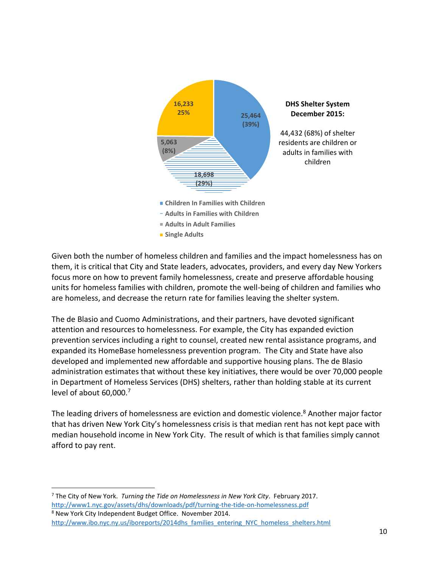

Given both the number of homeless children and families and the impact homelessness has on them, it is critical that City and State leaders, advocates, providers, and every day New Yorkers focus more on how to prevent family homelessness, create and preserve affordable housing units for homeless families with children, promote the well-being of children and families who are homeless, and decrease the return rate for families leaving the shelter system.

The de Blasio and Cuomo Administrations, and their partners, have devoted significant attention and resources to homelessness. For example, the City has expanded eviction prevention services including a right to counsel, created new rental assistance programs, and expanded its HomeBase homelessness prevention program. The City and State have also developed and implemented new affordable and supportive housing plans. The de Blasio administration estimates that without these key initiatives, there would be over 70,000 people in Department of Homeless Services (DHS) shelters, rather than holding stable at its current level of about 60,000.<sup>7</sup>

The leading drivers of homelessness are eviction and domestic violence.<sup>8</sup> Another major factor that has driven New York City's homelessness crisis is that median rent has not kept pace with median household income in New York City. The result of which is that families simply cannot afford to pay rent.

 $\overline{\phantom{a}}$ <sup>7</sup> The City of New York. *Turning the Tide on Homelessness in New York City*. February 2017. <http://www1.nyc.gov/assets/dhs/downloads/pdf/turning-the-tide-on-homelessness.pdf>

<sup>8</sup> New York City Independent Budget Office. November 2014. [http://www.ibo.nyc.ny.us/iboreports/2014dhs\\_families\\_entering\\_NYC\\_homeless\\_shelters.html](http://www.ibo.nyc.ny.us/iboreports/2014dhs_families_entering_NYC_homeless_shelters.html)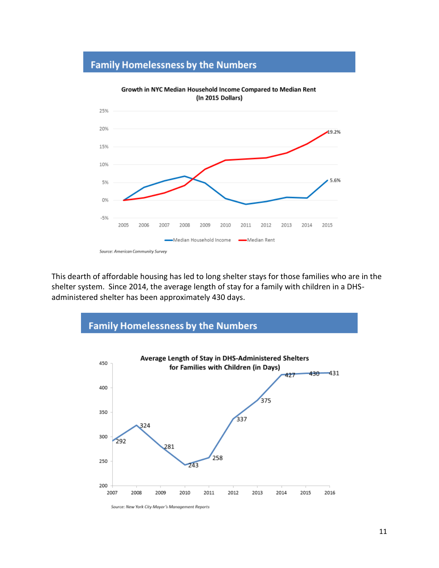#### **Family Homelessness by the Numbers**



This dearth of affordable housing has led to long shelter stays for those families who are in the shelter system. Since 2014, the average length of stay for a family with children in a DHSadministered shelter has been approximately 430 days.



Source: New York City Mayor's Management Reports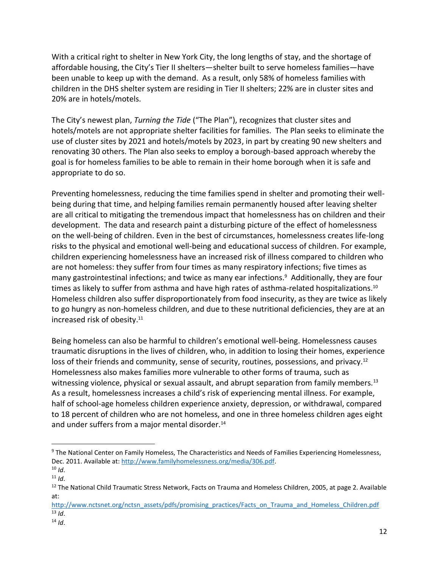With a critical right to shelter in New York City, the long lengths of stay, and the shortage of affordable housing, the City's Tier II shelters—shelter built to serve homeless families—have been unable to keep up with the demand. As a result, only 58% of homeless families with children in the DHS shelter system are residing in Tier II shelters; 22% are in cluster sites and 20% are in hotels/motels.

The City's newest plan, *Turning the Tide* ("The Plan"), recognizes that cluster sites and hotels/motels are not appropriate shelter facilities for families. The Plan seeks to eliminate the use of cluster sites by 2021 and hotels/motels by 2023, in part by creating 90 new shelters and renovating 30 others. The Plan also seeks to employ a borough-based approach whereby the goal is for homeless families to be able to remain in their home borough when it is safe and appropriate to do so.

Preventing homelessness, reducing the time families spend in shelter and promoting their wellbeing during that time, and helping families remain permanently housed after leaving shelter are all critical to mitigating the tremendous impact that homelessness has on children and their development. The data and research paint a disturbing picture of the effect of homelessness on the well-being of children. Even in the best of circumstances, homelessness creates life-long risks to the physical and emotional well-being and educational success of children. For example, children experiencing homelessness have an increased risk of illness compared to children who are not homeless: they suffer from four times as many respiratory infections; five times as many gastrointestinal infections; and twice as many ear infections.<sup>9</sup> Additionally, they are four times as likely to suffer from asthma and have high rates of asthma-related hospitalizations.<sup>10</sup> Homeless children also suffer disproportionately from food insecurity, as they are twice as likely to go hungry as non-homeless children, and due to these nutritional deficiencies, they are at an increased risk of obesity.<sup>11</sup>

Being homeless can also be harmful to children's emotional well-being. Homelessness causes traumatic disruptions in the lives of children, who, in addition to losing their homes, experience loss of their friends and community, sense of security, routines, possessions, and privacy.<sup>12</sup> Homelessness also makes families more vulnerable to other forms of trauma, such as witnessing violence, physical or sexual assault, and abrupt separation from family members.<sup>13</sup> As a result, homelessness increases a child's risk of experiencing mental illness. For example, half of school-age homeless children experience anxiety, depression, or withdrawal, compared to 18 percent of children who are not homeless, and one in three homeless children ages eight and under suffers from a major mental disorder.<sup>14</sup>

 $\overline{\phantom{a}}$ 

<sup>9</sup> The National Center on Family Homeless, The Characteristics and Needs of Families Experiencing Homelessness, Dec. 2011. Available at[: http://www.familyhomelessness.org/media/306.pdf.](http://www.familyhomelessness.org/media/306.pdf)

 $10$  *Id.* 

 $11$  *Id.* 

<sup>&</sup>lt;sup>12</sup> The National Child Traumatic Stress Network, Facts on Trauma and Homeless Children, 2005, at page 2. Available at:

[http://www.nctsnet.org/nctsn\\_assets/pdfs/promising\\_practices/Facts\\_on\\_Trauma\\_and\\_Homeless\\_Children.pdf](http://www.nctsnet.org/nctsn_assets/pdfs/promising_practices/Facts_on_Trauma_and_Homeless_Children.pdf)  $13$  *Id.* 

<sup>14</sup> *Id*.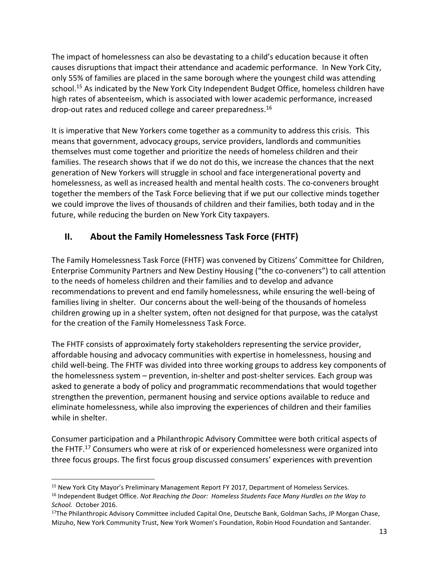The impact of homelessness can also be devastating to a child's education because it often causes disruptions that impact their attendance and academic performance. In New York City, only 55% of families are placed in the same borough where the youngest child was attending school.<sup>15</sup> As indicated by the New York City Independent Budget Office, homeless children have high rates of absenteeism, which is associated with lower academic performance, increased drop-out rates and reduced college and career preparedness.<sup>16</sup>

It is imperative that New Yorkers come together as a community to address this crisis. This means that government, advocacy groups, service providers, landlords and communities themselves must come together and prioritize the needs of homeless children and their families. The research shows that if we do not do this, we increase the chances that the next generation of New Yorkers will struggle in school and face intergenerational poverty and homelessness, as well as increased health and mental health costs. The co-conveners brought together the members of the Task Force believing that if we put our collective minds together we could improve the lives of thousands of children and their families, both today and in the future, while reducing the burden on New York City taxpayers.

#### **II. About the Family Homelessness Task Force (FHTF)**

The Family Homelessness Task Force (FHTF) was convened by Citizens' Committee for Children, Enterprise Community Partners and New Destiny Housing ("the co-conveners") to call attention to the needs of homeless children and their families and to develop and advance recommendations to prevent and end family homelessness, while ensuring the well-being of families living in shelter. Our concerns about the well-being of the thousands of homeless children growing up in a shelter system, often not designed for that purpose, was the catalyst for the creation of the Family Homelessness Task Force.

The FHTF consists of approximately forty stakeholders representing the service provider, affordable housing and advocacy communities with expertise in homelessness, housing and child well-being. The FHTF was divided into three working groups to address key components of the homelessness system – prevention, in-shelter and post-shelter services. Each group was asked to generate a body of policy and programmatic recommendations that would together strengthen the prevention, permanent housing and service options available to reduce and eliminate homelessness, while also improving the experiences of children and their families while in shelter.

Consumer participation and a Philanthropic Advisory Committee were both critical aspects of the FHTF.<sup>17</sup> Consumers who were at risk of or experienced homelessness were organized into three focus groups. The first focus group discussed consumers' experiences with prevention

 $\overline{a}$ 

<sup>&</sup>lt;sup>15</sup> New York City Mayor's Preliminary Management Report FY 2017, Department of Homeless Services.

<sup>16</sup> Independent Budget Office. *Not Reaching the Door: Homeless Students Face Many Hurdles on the Way to School.* October 2016.

<sup>&</sup>lt;sup>17</sup>The Philanthropic Advisory Committee included Capital One, Deutsche Bank, Goldman Sachs, JP Morgan Chase, Mizuho, New York Community Trust, New York Women's Foundation, Robin Hood Foundation and Santander.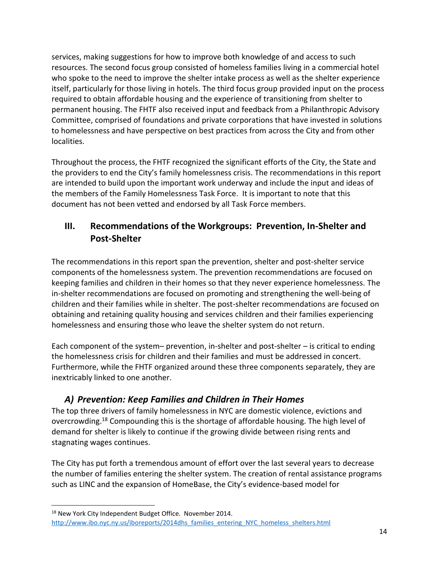services, making suggestions for how to improve both knowledge of and access to such resources. The second focus group consisted of homeless families living in a commercial hotel who spoke to the need to improve the shelter intake process as well as the shelter experience itself, particularly for those living in hotels. The third focus group provided input on the process required to obtain affordable housing and the experience of transitioning from shelter to permanent housing. The FHTF also received input and feedback from a Philanthropic Advisory Committee, comprised of foundations and private corporations that have invested in solutions to homelessness and have perspective on best practices from across the City and from other localities.

Throughout the process, the FHTF recognized the significant efforts of the City, the State and the providers to end the City's family homelessness crisis. The recommendations in this report are intended to build upon the important work underway and include the input and ideas of the members of the Family Homelessness Task Force. It is important to note that this document has not been vetted and endorsed by all Task Force members.

#### **III. Recommendations of the Workgroups: Prevention, In-Shelter and Post-Shelter**

The recommendations in this report span the prevention, shelter and post-shelter service components of the homelessness system. The prevention recommendations are focused on keeping families and children in their homes so that they never experience homelessness. The in-shelter recommendations are focused on promoting and strengthening the well-being of children and their families while in shelter. The post-shelter recommendations are focused on obtaining and retaining quality housing and services children and their families experiencing homelessness and ensuring those who leave the shelter system do not return.

Each component of the system– prevention, in-shelter and post-shelter – is critical to ending the homelessness crisis for children and their families and must be addressed in concert. Furthermore, while the FHTF organized around these three components separately, they are inextricably linked to one another.

#### *A) Prevention: Keep Families and Children in Their Homes*

The top three drivers of family homelessness in NYC are domestic violence, evictions and overcrowding.<sup>18</sup> Compounding this is the shortage of affordable housing. The high level of demand for shelter is likely to continue if the growing divide between rising rents and stagnating wages continues.

The City has put forth a tremendous amount of effort over the last several years to decrease the number of families entering the shelter system. The creation of rental assistance programs such as LINC and the expansion of HomeBase, the City's evidence-based model for

 $\overline{\phantom{a}}$ <sup>18</sup> New York City Independent Budget Office. November 2014.

[http://www.ibo.nyc.ny.us/iboreports/2014dhs\\_families\\_entering\\_NYC\\_homeless\\_shelters.html](http://www.ibo.nyc.ny.us/iboreports/2014dhs_families_entering_NYC_homeless_shelters.html)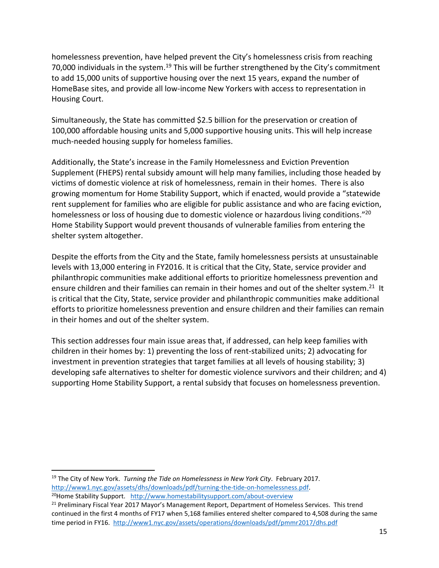homelessness prevention, have helped prevent the City's homelessness crisis from reaching 70,000 individuals in the system.<sup>19</sup> This will be further strengthened by the City's commitment to add 15,000 units of supportive housing over the next 15 years, expand the number of HomeBase sites, and provide all low-income New Yorkers with access to representation in Housing Court.

Simultaneously, the State has committed \$2.5 billion for the preservation or creation of 100,000 affordable housing units and 5,000 supportive housing units. This will help increase much-needed housing supply for homeless families.

Additionally, the State's increase in the Family Homelessness and Eviction Prevention Supplement (FHEPS) rental subsidy amount will help many families, including those headed by victims of domestic violence at risk of homelessness, remain in their homes. There is also growing momentum for Home Stability Support, which if enacted, would provide a "statewide rent supplement for families who are eligible for public assistance and who are facing eviction, homelessness or loss of housing due to domestic violence or hazardous living conditions."<sup>20</sup> Home Stability Support would prevent thousands of vulnerable families from entering the shelter system altogether.

Despite the efforts from the City and the State, family homelessness persists at unsustainable levels with 13,000 entering in FY2016. It is critical that the City, State, service provider and philanthropic communities make additional efforts to prioritize homelessness prevention and ensure children and their families can remain in their homes and out of the shelter system.<sup>21</sup> It is critical that the City, State, service provider and philanthropic communities make additional efforts to prioritize homelessness prevention and ensure children and their families can remain in their homes and out of the shelter system.

This section addresses four main issue areas that, if addressed, can help keep families with children in their homes by: 1) preventing the loss of rent-stabilized units; 2) advocating for investment in prevention strategies that target families at all levels of housing stability; 3) developing safe alternatives to shelter for domestic violence survivors and their children; and 4) supporting Home Stability Support, a rental subsidy that focuses on homelessness prevention.

 $\overline{\phantom{a}}$ <sup>19</sup> The City of New York. *Turning the Tide on Homelessness in New York City*. February 2017. [http://www1.nyc.gov/assets/dhs/downloads/pdf/turning-the-tide-on-homelessness.pdf.](http://www1.nyc.gov/assets/dhs/downloads/pdf/turning-the-tide-on-homelessness.pdf) <sup>20</sup>Home Stability Support. <http://www.homestabilitysupport.com/about-overview>

<sup>21</sup> Preliminary Fiscal Year 2017 Mayor's Management Report, Department of Homeless Services. This trend continued in the first 4 months of FY17 when 5,168 families entered shelter compared to 4,508 during the same time period in FY16. <http://www1.nyc.gov/assets/operations/downloads/pdf/pmmr2017/dhs.pdf>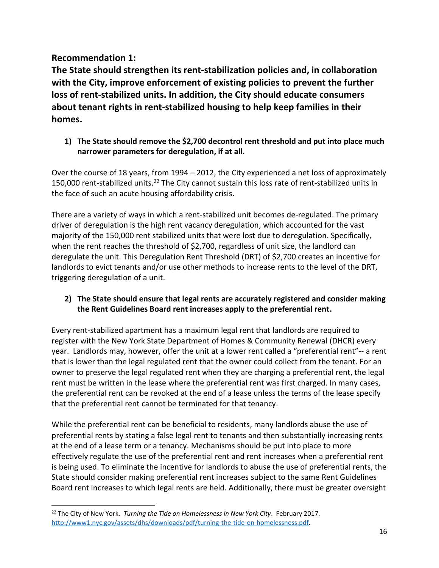**Recommendation 1:**

 $\overline{\phantom{a}}$ 

**The State should strengthen its rent-stabilization policies and, in collaboration with the City, improve enforcement of existing policies to prevent the further loss of rent-stabilized units. In addition, the City should educate consumers about tenant rights in rent-stabilized housing to help keep families in their homes.** 

**1) The State should remove the \$2,700 decontrol rent threshold and put into place much narrower parameters for deregulation, if at all.**

Over the course of 18 years, from 1994 – 2012, the City experienced a net loss of approximately 150,000 rent-stabilized units.<sup>22</sup> The City cannot sustain this loss rate of rent-stabilized units in the face of such an acute housing affordability crisis.

There are a variety of ways in which a rent-stabilized unit becomes de-regulated. The primary driver of deregulation is the high rent vacancy deregulation, which accounted for the vast majority of the 150,000 rent stabilized units that were lost due to deregulation. Specifically, when the rent reaches the threshold of \$2,700, regardless of unit size, the landlord can deregulate the unit. This Deregulation Rent Threshold (DRT) of \$2,700 creates an incentive for landlords to evict tenants and/or use other methods to increase rents to the level of the DRT, triggering deregulation of a unit.

#### **2) The State should ensure that legal rents are accurately registered and consider making the Rent Guidelines Board rent increases apply to the preferential rent.**

Every rent-stabilized apartment has a maximum legal rent that landlords are required to register with the New York State Department of Homes & Community Renewal (DHCR) every year. Landlords may, however, offer the unit at a lower rent called a "preferential rent"-- a rent that is lower than the legal regulated rent that the owner could collect from the tenant. For an owner to preserve the legal regulated rent when they are charging a preferential rent, the legal rent must be written in the lease where the preferential rent was first charged. In many cases, the preferential rent can be revoked at the end of a lease unless the terms of the lease specify that the preferential rent cannot be terminated for that tenancy.

While the preferential rent can be beneficial to residents, many landlords abuse the use of preferential rents by stating a false legal rent to tenants and then substantially increasing rents at the end of a lease term or a tenancy. Mechanisms should be put into place to more effectively regulate the use of the preferential rent and rent increases when a preferential rent is being used. To eliminate the incentive for landlords to abuse the use of preferential rents, the State should consider making preferential rent increases subject to the same Rent Guidelines Board rent increases to which legal rents are held. Additionally, there must be greater oversight

<sup>22</sup> The City of New York. *Turning the Tide on Homelessness in New York City*. February 2017. [http://www1.nyc.gov/assets/dhs/downloads/pdf/turning-the-tide-on-homelessness.pdf.](http://www1.nyc.gov/assets/dhs/downloads/pdf/turning-the-tide-on-homelessness.pdf)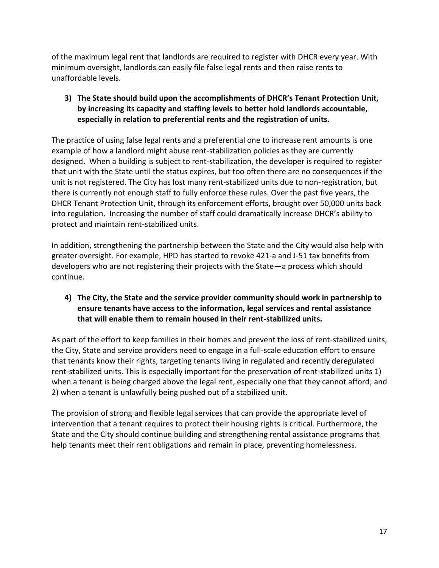of the maximum legal rent that landlords are required to register with DHCR every year. With minimum oversight, landlords can easily file false legal rents and then raise rents to unaffordable levels.

#### **3) The State should build upon the accomplishments of DHCR's Tenant Protection Unit, by increasing its capacity and staffing levels to better hold landlords accountable, especially in relation to preferential rents and the registration of units.**

The practice of using false legal rents and a preferential one to increase rent amounts is one example of how a landlord might abuse rent-stabilization policies as they are currently designed. When a building is subject to rent-stabilization, the developer is required to register that unit with the State until the status expires, but too often there are no consequences if the unit is not registered. The City has lost many rent-stabilized units due to non-registration, but there is currently not enough staff to fully enforce these rules. Over the past five years, the DHCR Tenant Protection Unit, through its enforcement efforts, brought over 50,000 units back into regulation. Increasing the number of staff could dramatically increase DHCR's ability to protect and maintain rent-stabilized units.

In addition, strengthening the partnership between the State and the City would also help with greater oversight. For example, HPD has started to revoke 421-a and J-51 tax benefits from developers who are not registering their projects with the State—a process which should continue.

#### **4) The City, the State and the service provider community should work in partnership to ensure tenants have access to the information, legal services and rental assistance that will enable them to remain housed in their rent-stabilized units.**

As part of the effort to keep families in their homes and prevent the loss of rent-stabilized units, the City, State and service providers need to engage in a full-scale education effort to ensure that tenants know their rights, targeting tenants living in regulated and recently deregulated rent-stabilized units. This is especially important for the preservation of rent-stabilized units 1) when a tenant is being charged above the legal rent, especially one that they cannot afford; and 2) when a tenant is unlawfully being pushed out of a stabilized unit.

The provision of strong and flexible legal services that can provide the appropriate level of intervention that a tenant requires to protect their housing rights is critical. Furthermore, the State and the City should continue building and strengthening rental assistance programs that help tenants meet their rent obligations and remain in place, preventing homelessness.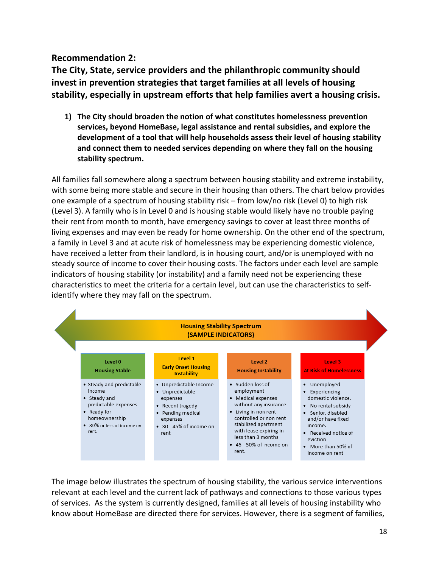#### **Recommendation 2:**

**The City, State, service providers and the philanthropic community should invest in prevention strategies that target families at all levels of housing stability, especially in upstream efforts that help families avert a housing crisis.** 

**1) The City should broaden the notion of what constitutes homelessness prevention services, beyond HomeBase, legal assistance and rental subsidies, and explore the development of a tool that will help households assess their level of housing stability and connect them to needed services depending on where they fall on the housing stability spectrum.**

All families fall somewhere along a spectrum between housing stability and extreme instability, with some being more stable and secure in their housing than others. The chart below provides one example of a spectrum of housing stability risk – from low/no risk (Level 0) to high risk (Level 3). A family who is in Level 0 and is housing stable would likely have no trouble paying their rent from month to month, have emergency savings to cover at least three months of living expenses and may even be ready for home ownership. On the other end of the spectrum, a family in Level 3 and at acute risk of homelessness may be experiencing domestic violence, have received a letter from their landlord, is in housing court, and/or is unemployed with no steady source of income to cover their housing costs. The factors under each level are sample indicators of housing stability (or instability) and a family need not be experiencing these characteristics to meet the criteria for a certain level, but can use the characteristics to selfidentify where they may fall on the spectrum.



The image below illustrates the spectrum of housing stability, the various service interventions relevant at each level and the current lack of pathways and connections to those various types of services. As the system is currently designed, families at all levels of housing instability who know about HomeBase are directed there for services. However, there is a segment of families,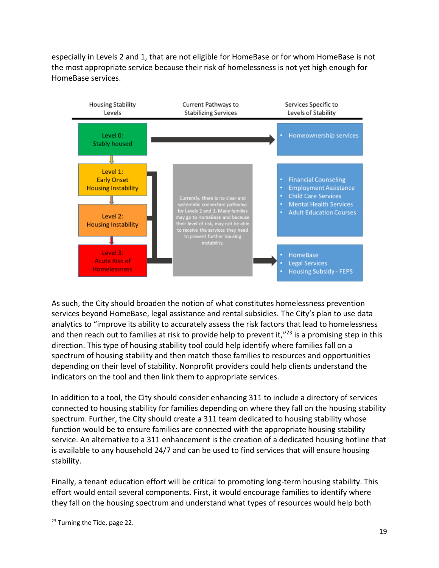especially in Levels 2 and 1, that are not eligible for HomeBase or for whom HomeBase is not the most appropriate service because their risk of homelessness is not yet high enough for HomeBase services.



As such, the City should broaden the notion of what constitutes homelessness prevention services beyond HomeBase, legal assistance and rental subsidies. The City's plan to use data analytics to "improve its ability to accurately assess the risk factors that lead to homelessness and then reach out to families at risk to provide help to prevent it,"<sup>23</sup> is a promising step in this direction. This type of housing stability tool could help identify where families fall on a spectrum of housing stability and then match those families to resources and opportunities depending on their level of stability. Nonprofit providers could help clients understand the indicators on the tool and then link them to appropriate services.

In addition to a tool, the City should consider enhancing 311 to include a directory of services connected to housing stability for families depending on where they fall on the housing stability spectrum. Further, the City should create a 311 team dedicated to housing stability whose function would be to ensure families are connected with the appropriate housing stability service. An alternative to a 311 enhancement is the creation of a dedicated housing hotline that is available to any household 24/7 and can be used to find services that will ensure housing stability.

Finally, a tenant education effort will be critical to promoting long-term housing stability. This effort would entail several components. First, it would encourage families to identify where they fall on the housing spectrum and understand what types of resources would help both

l

<sup>&</sup>lt;sup>23</sup> Turning the Tide, page 22.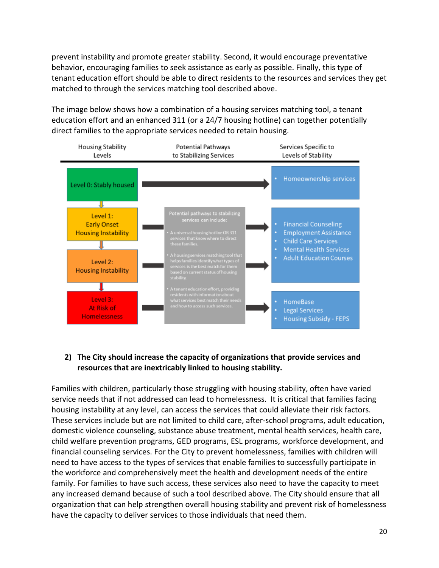prevent instability and promote greater stability. Second, it would encourage preventative behavior, encouraging families to seek assistance as early as possible. Finally, this type of tenant education effort should be able to direct residents to the resources and services they get matched to through the services matching tool described above.

The image below shows how a combination of a housing services matching tool, a tenant education effort and an enhanced 311 (or a 24/7 housing hotline) can together potentially direct families to the appropriate services needed to retain housing.



#### **2) The City should increase the capacity of organizations that provide services and resources that are inextricably linked to housing stability.**

Families with children, particularly those struggling with housing stability, often have varied service needs that if not addressed can lead to homelessness. It is critical that families facing housing instability at any level, can access the services that could alleviate their risk factors. These services include but are not limited to child care, after-school programs, adult education, domestic violence counseling, substance abuse treatment, mental health services, health care, child welfare prevention programs, GED programs, ESL programs, workforce development, and financial counseling services. For the City to prevent homelessness, families with children will need to have access to the types of services that enable families to successfully participate in the workforce and comprehensively meet the health and development needs of the entire family. For families to have such access, these services also need to have the capacity to meet any increased demand because of such a tool described above. The City should ensure that all organization that can help strengthen overall housing stability and prevent risk of homelessness have the capacity to deliver services to those individuals that need them.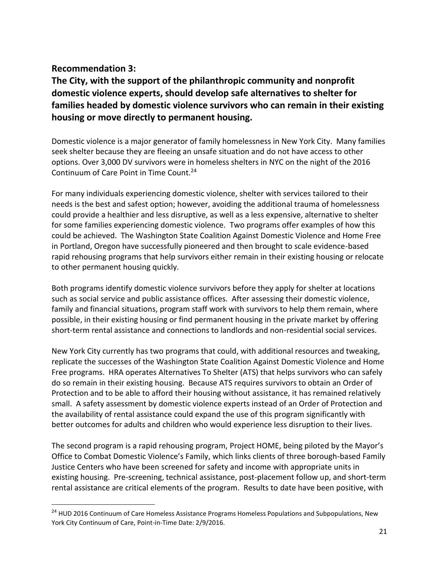#### **Recommendation 3:**

 $\overline{\phantom{a}}$ 

**The City, with the support of the philanthropic community and nonprofit domestic violence experts, should develop safe alternatives to shelter for families headed by domestic violence survivors who can remain in their existing housing or move directly to permanent housing.**

Domestic violence is a major generator of family homelessness in New York City. Many families seek shelter because they are fleeing an unsafe situation and do not have access to other options. Over 3,000 DV survivors were in homeless shelters in NYC on the night of the 2016 Continuum of Care Point in Time Count.<sup>24</sup>

For many individuals experiencing domestic violence, shelter with services tailored to their needs is the best and safest option; however, avoiding the additional trauma of homelessness could provide a healthier and less disruptive, as well as a less expensive, alternative to shelter for some families experiencing domestic violence. Two programs offer examples of how this could be achieved. The Washington State Coalition Against Domestic Violence and Home Free in Portland, Oregon have successfully pioneered and then brought to scale evidence-based rapid rehousing programs that help survivors either remain in their existing housing or relocate to other permanent housing quickly.

Both programs identify domestic violence survivors before they apply for shelter at locations such as social service and public assistance offices. After assessing their domestic violence, family and financial situations, program staff work with survivors to help them remain, where possible, in their existing housing or find permanent housing in the private market by offering short-term rental assistance and connections to landlords and non-residential social services.

New York City currently has two programs that could, with additional resources and tweaking, replicate the successes of the Washington State Coalition Against Domestic Violence and Home Free programs. HRA operates Alternatives To Shelter (ATS) that helps survivors who can safely do so remain in their existing housing. Because ATS requires survivors to obtain an Order of Protection and to be able to afford their housing without assistance, it has remained relatively small. A safety assessment by domestic violence experts instead of an Order of Protection and the availability of rental assistance could expand the use of this program significantly with better outcomes for adults and children who would experience less disruption to their lives.

The second program is a rapid rehousing program, Project HOME, being piloted by the Mayor's Office to Combat Domestic Violence's Family, which links clients of three borough-based Family Justice Centers who have been screened for safety and income with appropriate units in existing housing. Pre-screening, technical assistance, post-placement follow up, and short-term rental assistance are critical elements of the program. Results to date have been positive, with

<sup>&</sup>lt;sup>24</sup> HUD 2016 Continuum of Care Homeless Assistance Programs Homeless Populations and Subpopulations, New York City Continuum of Care, Point-in-Time Date: 2/9/2016.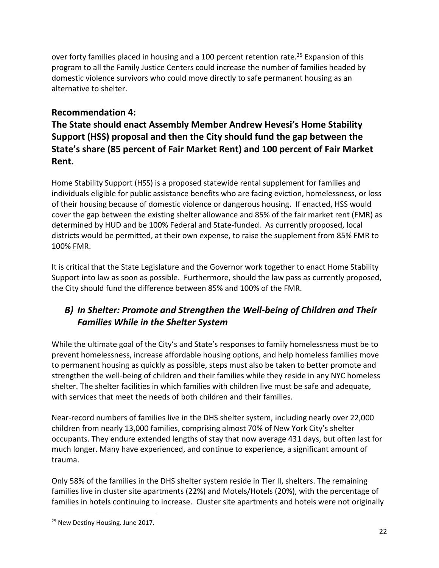over forty families placed in housing and a 100 percent retention rate.<sup>25</sup> Expansion of this program to all the Family Justice Centers could increase the number of families headed by domestic violence survivors who could move directly to safe permanent housing as an alternative to shelter.

#### **Recommendation 4:**

**The State should enact Assembly Member Andrew Hevesi's Home Stability Support (HSS) proposal and then the City should fund the gap between the State's share (85 percent of Fair Market Rent) and 100 percent of Fair Market Rent.**

Home Stability Support (HSS) is a proposed statewide rental supplement for families and individuals eligible for public assistance benefits who are facing eviction, homelessness, or loss of their housing because of domestic violence or dangerous housing. If enacted, HSS would cover the gap between the existing shelter allowance and 85% of the fair market rent (FMR) as determined by HUD and be 100% Federal and State-funded. As currently proposed, local districts would be permitted, at their own expense, to raise the supplement from 85% FMR to 100% FMR.

It is critical that the State Legislature and the Governor work together to enact Home Stability Support into law as soon as possible. Furthermore, should the law pass as currently proposed, the City should fund the difference between 85% and 100% of the FMR.

#### *B) In Shelter: Promote and Strengthen the Well-being of Children and Their Families While in the Shelter System*

While the ultimate goal of the City's and State's responses to family homelessness must be to prevent homelessness, increase affordable housing options, and help homeless families move to permanent housing as quickly as possible, steps must also be taken to better promote and strengthen the well-being of children and their families while they reside in any NYC homeless shelter. The shelter facilities in which families with children live must be safe and adequate, with services that meet the needs of both children and their families.

Near-record numbers of families live in the DHS shelter system, including nearly over 22,000 children from nearly 13,000 families, comprising almost 70% of New York City's shelter occupants. They endure extended lengths of stay that now average 431 days, but often last for much longer. Many have experienced, and continue to experience, a significant amount of trauma.

Only 58% of the families in the DHS shelter system reside in Tier II, shelters. The remaining families live in cluster site apartments (22%) and Motels/Hotels (20%), with the percentage of families in hotels continuing to increase. Cluster site apartments and hotels were not originally

l

<sup>&</sup>lt;sup>25</sup> New Destiny Housing. June 2017.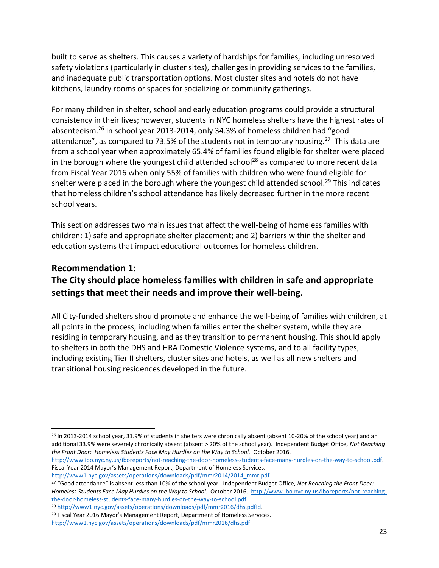built to serve as shelters. This causes a variety of hardships for families, including unresolved safety violations (particularly in cluster sites), challenges in providing services to the families, and inadequate public transportation options. Most cluster sites and hotels do not have kitchens, laundry rooms or spaces for socializing or community gatherings.

For many children in shelter, school and early education programs could provide a structural consistency in their lives; however, students in NYC homeless shelters have the highest rates of absenteeism.<sup>26</sup> In school year 2013-2014, only 34.3% of homeless children had "good attendance", as compared to 73.5% of the students not in temporary housing.<sup>27</sup> This data are from a school year when approximately 65.4% of families found eligible for shelter were placed in the borough where the youngest child attended school<sup>28</sup> as compared to more recent data from Fiscal Year 2016 when only 55% of families with children who were found eligible for shelter were placed in the borough where the youngest child attended school.<sup>29</sup> This indicates that homeless children's school attendance has likely decreased further in the more recent school years.

This section addresses two main issues that affect the well-being of homeless families with children: 1) safe and appropriate shelter placement; and 2) barriers within the shelter and education systems that impact educational outcomes for homeless children.

#### **Recommendation 1:**

#### **The City should place homeless families with children in safe and appropriate settings that meet their needs and improve their well-being.**

All City-funded shelters should promote and enhance the well-being of families with children, at all points in the process, including when families enter the shelter system, while they are residing in temporary housing, and as they transition to permanent housing. This should apply to shelters in both the DHS and HRA Domestic Violence systems, and to all facility types, including existing Tier II shelters, cluster sites and hotels, as well as all new shelters and transitional housing residences developed in the future.

l <sup>26</sup> In 2013-2014 school year, 31.9% of students in shelters were chronically absent (absent 10-20% of the school year) and an additional 33.9% were severely chronically absent (absent > 20% of the school year). Independent Budget Office, *Not Reaching the Front Door: Homeless Students Face May Hurdles on the Way to School.* October 2016.

[http://www.ibo.nyc.ny.us/iboreports/not-reaching-the-door-homeless-students-face-many-hurdles-on-the-way-to-school.pdf.](http://www.ibo.nyc.ny.us/iboreports/not-reaching-the-door-homeless-students-face-many-hurdles-on-the-way-to-school.pdf) Fiscal Year 2014 Mayor's Management Report, Department of Homeless Services.

[http://www1.nyc.gov/assets/operations/downloads/pdf/mmr2014/2014\\_mmr.pdf](http://www1.nyc.gov/assets/operations/downloads/pdf/mmr2014/2014_mmr.pdf)

<sup>27</sup> "Good attendance" is absent less than 10% of the school year. Independent Budget Office, *Not Reaching the Front Door: Homeless Students Face May Hurdles on the Way to School.* October 2016. [http://www.ibo.nyc.ny.us/iboreports/not-reaching](http://www.ibo.nyc.ny.us/iboreports/not-reaching-the-door-homeless-students-face-many-hurdles-on-the-way-to-school.pdf)[the-door-homeless-students-face-many-hurdles-on-the-way-to-school.pdf](http://www.ibo.nyc.ny.us/iboreports/not-reaching-the-door-homeless-students-face-many-hurdles-on-the-way-to-school.pdf) <sup>28</sup> [http://www1.nyc.gov/assets/operations/downloads/pdf/mmr2016/dhs.pdfId.](file:///C:/Users/sgendell.CCCNEWYORK/AppData/Local/Microsoft/Windows/Temporary%20Internet%20Files/Content.Outlook/BK0VJFL2/Id)

<sup>&</sup>lt;sup>29</sup> Fiscal Year 2016 Mayor's Management Report, Department of Homeless Services.

<http://www1.nyc.gov/assets/operations/downloads/pdf/mmr2016/dhs.pdf>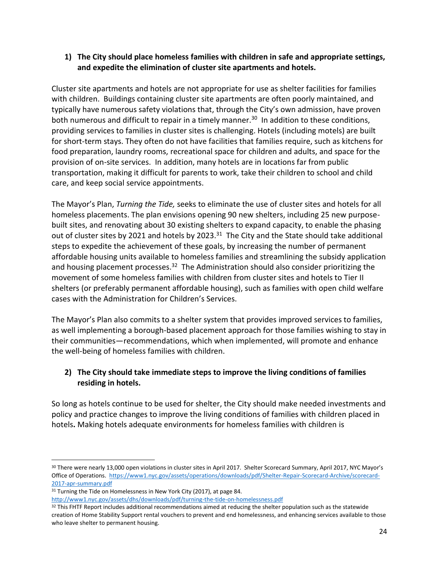#### **1) The City should place homeless families with children in safe and appropriate settings, and expedite the elimination of cluster site apartments and hotels.**

Cluster site apartments and hotels are not appropriate for use as shelter facilities for families with children. Buildings containing cluster site apartments are often poorly maintained, and typically have numerous safety violations that, through the City's own admission, have proven both numerous and difficult to repair in a timely manner.<sup>30</sup> In addition to these conditions, providing services to families in cluster sites is challenging. Hotels (including motels) are built for short-term stays. They often do not have facilities that families require, such as kitchens for food preparation, laundry rooms, recreational space for children and adults, and space for the provision of on-site services. In addition, many hotels are in locations far from public transportation, making it difficult for parents to work, take their children to school and child care, and keep social service appointments.

The Mayor's Plan, *Turning the Tide,* seeks to eliminate the use of cluster sites and hotels for all homeless placements. The plan envisions opening 90 new shelters, including 25 new purposebuilt sites, and renovating about 30 existing shelters to expand capacity, to enable the phasing out of cluster sites by 2021 and hotels by 2023.<sup>31</sup> The City and the State should take additional steps to expedite the achievement of these goals, by increasing the number of permanent affordable housing units available to homeless families and streamlining the subsidy application and housing placement processes.<sup>32</sup> The Administration should also consider prioritizing the movement of some homeless families with children from cluster sites and hotels to Tier II shelters (or preferably permanent affordable housing), such as families with open child welfare cases with the Administration for Children's Services.

The Mayor's Plan also commits to a shelter system that provides improved services to families, as well implementing a borough-based placement approach for those families wishing to stay in their communities—recommendations, which when implemented, will promote and enhance the well-being of homeless families with children.

#### **2) The City should take immediate steps to improve the living conditions of families residing in hotels.**

So long as hotels continue to be used for shelter, the City should make needed investments and policy and practice changes to improve the living conditions of families with children placed in hotels**.** Making hotels adequate environments for homeless families with children is

 $\overline{\phantom{a}}$ 

<http://www1.nyc.gov/assets/dhs/downloads/pdf/turning-the-tide-on-homelessness.pdf>

<sup>32</sup> This FHTF Report includes additional recommendations aimed at reducing the shelter population such as the statewide creation of Home Stability Support rental vouchers to prevent and end homelessness, and enhancing services available to those who leave shelter to permanent housing.

<sup>&</sup>lt;sup>30</sup> There were nearly 13,000 open violations in cluster sites in April 2017. Shelter Scorecard Summary, April 2017, NYC Mayor's Office of Operations. [https://www1.nyc.gov/assets/operations/downloads/pdf/Shelter-Repair-Scorecard-Archive/scorecard-](https://www1.nyc.gov/assets/operations/downloads/pdf/Shelter-Repair-Scorecard-Archive/scorecard-2017-apr-summary.pdf)[2017-apr-summary.pdf](https://www1.nyc.gov/assets/operations/downloads/pdf/Shelter-Repair-Scorecard-Archive/scorecard-2017-apr-summary.pdf)

<sup>&</sup>lt;sup>31</sup> Turning the Tide on Homelessness in New York City (2017), at page 84.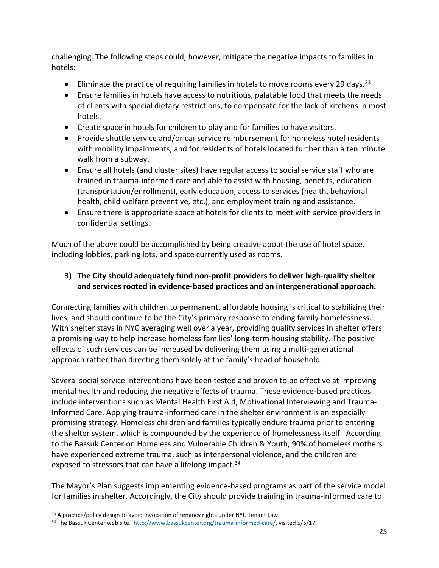challenging. The following steps could, however, mitigate the negative impacts to families in hotels:

- Eliminate the practice of requiring families in hotels to move rooms every 29 days.<sup>33</sup>
- Ensure families in hotels have access to nutritious, palatable food that meets the needs of clients with special dietary restrictions, to compensate for the lack of kitchens in most hotels.
- Create space in hotels for children to play and for families to have visitors.
- Provide shuttle service and/or car service reimbursement for homeless hotel residents with mobility impairments, and for residents of hotels located further than a ten minute walk from a subway.
- Ensure all hotels (and cluster sites) have regular access to social service staff who are trained in trauma-informed care and able to assist with housing, benefits, education (transportation/enrollment), early education, access to services (health, behavioral health, child welfare preventive, etc.), and employment training and assistance.
- Ensure there is appropriate space at hotels for clients to meet with service providers in confidential settings.

Much of the above could be accomplished by being creative about the use of hotel space, including lobbies, parking lots, and space currently used as rooms.

#### **3) The City should adequately fund non-profit providers to deliver high-quality shelter and services rooted in evidence-based practices and an intergenerational approach.**

Connecting families with children to permanent, affordable housing is critical to stabilizing their lives, and should continue to be the City's primary response to ending family homelessness. With shelter stays in NYC averaging well over a year, providing quality services in shelter offers a promising way to help increase homeless families' long-term housing stability. The positive effects of such services can be increased by delivering them using a multi-generational approach rather than directing them solely at the family's head of household.

Several social service interventions have been tested and proven to be effective at improving mental health and reducing the negative effects of trauma. These evidence-based practices include interventions such as Mental Health First Aid, Motivational Interviewing and Trauma-Informed Care. Applying trauma-informed care in the shelter environment is an especially promising strategy. Homeless children and families typically endure trauma prior to entering the shelter system, which is compounded by the experience of homelessness itself. According to the Bassuk Center on Homeless and Vulnerable Children & Youth, 90% of homeless mothers have experienced extreme trauma, such as interpersonal violence, and the children are exposed to stressors that can have a lifelong impact.<sup>34</sup>

The Mayor's Plan suggests implementing evidence-based programs as part of the service model for families in shelter. Accordingly, the City should provide training in trauma-informed care to

 $\overline{\phantom{a}}$ 

<sup>&</sup>lt;sup>33</sup> A practice/policy design to avoid invocation of tenancy rights under NYC Tenant Law.

<sup>&</sup>lt;sup>34</sup> The Bassuk Center web site. [http://www.bassukcenter.org/trauma-informed-care/,](http://www.bassukcenter.org/trauma-informed-care/) visited 5/5/17.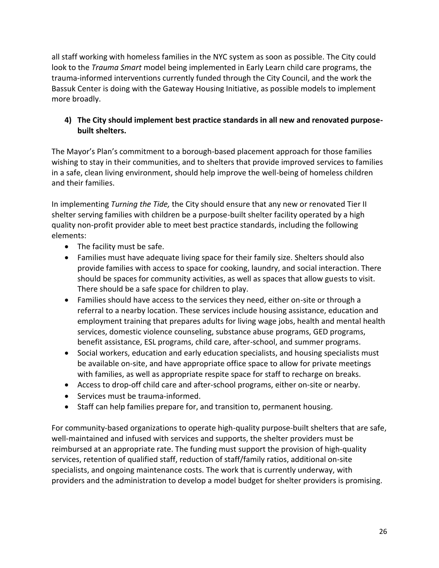all staff working with homeless families in the NYC system as soon as possible. The City could look to the *Trauma Smart* model being implemented in Early Learn child care programs, the trauma-informed interventions currently funded through the City Council, and the work the Bassuk Center is doing with the Gateway Housing Initiative, as possible models to implement more broadly.

#### **4) The City should implement best practice standards in all new and renovated purposebuilt shelters.**

The Mayor's Plan's commitment to a borough-based placement approach for those families wishing to stay in their communities, and to shelters that provide improved services to families in a safe, clean living environment, should help improve the well-being of homeless children and their families.

In implementing *Turning the Tide,* the City should ensure that any new or renovated Tier II shelter serving families with children be a purpose-built shelter facility operated by a high quality non-profit provider able to meet best practice standards, including the following elements:

- The facility must be safe.
- Families must have adequate living space for their family size. Shelters should also provide families with access to space for cooking, laundry, and social interaction. There should be spaces for community activities, as well as spaces that allow guests to visit. There should be a safe space for children to play.
- Families should have access to the services they need, either on-site or through a referral to a nearby location. These services include housing assistance, education and employment training that prepares adults for living wage jobs, health and mental health services, domestic violence counseling, substance abuse programs, GED programs, benefit assistance, ESL programs, child care, after-school, and summer programs.
- Social workers, education and early education specialists, and housing specialists must be available on-site, and have appropriate office space to allow for private meetings with families, as well as appropriate respite space for staff to recharge on breaks.
- Access to drop-off child care and after-school programs, either on-site or nearby.
- Services must be trauma-informed.
- Staff can help families prepare for, and transition to, permanent housing.

For community-based organizations to operate high-quality purpose-built shelters that are safe, well-maintained and infused with services and supports, the shelter providers must be reimbursed at an appropriate rate. The funding must support the provision of high-quality services, retention of qualified staff, reduction of staff/family ratios, additional on-site specialists, and ongoing maintenance costs. The work that is currently underway, with providers and the administration to develop a model budget for shelter providers is promising.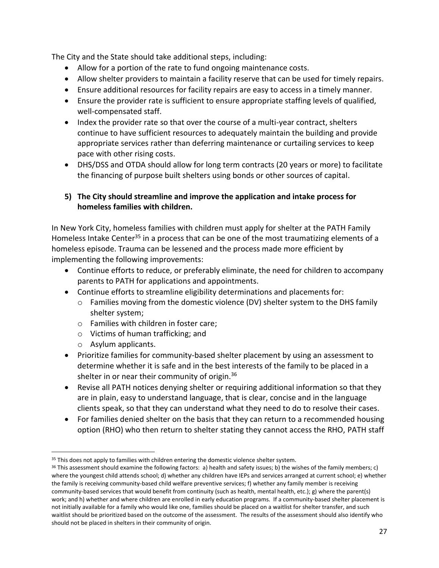The City and the State should take additional steps, including:

- Allow for a portion of the rate to fund ongoing maintenance costs.
- Allow shelter providers to maintain a facility reserve that can be used for timely repairs.
- Ensure additional resources for facility repairs are easy to access in a timely manner.
- Ensure the provider rate is sufficient to ensure appropriate staffing levels of qualified, well-compensated staff.
- Index the provider rate so that over the course of a multi-year contract, shelters continue to have sufficient resources to adequately maintain the building and provide appropriate services rather than deferring maintenance or curtailing services to keep pace with other rising costs.
- DHS/DSS and OTDA should allow for long term contracts (20 years or more) to facilitate the financing of purpose built shelters using bonds or other sources of capital.

#### **5) The City should streamline and improve the application and intake process for homeless families with children.**

In New York City, homeless families with children must apply for shelter at the PATH Family Homeless Intake Center<sup>35</sup> in a process that can be one of the most traumatizing elements of a homeless episode. Trauma can be lessened and the process made more efficient by implementing the following improvements:

- Continue efforts to reduce, or preferably eliminate, the need for children to accompany parents to PATH for applications and appointments.
- Continue efforts to streamline eligibility determinations and placements for:
	- o Families moving from the domestic violence (DV) shelter system to the DHS family shelter system;
	- o Families with children in foster care;
	- o Victims of human trafficking; and
	- o Asylum applicants.

l

- Prioritize families for community-based shelter placement by using an assessment to determine whether it is safe and in the best interests of the family to be placed in a shelter in or near their community of origin.<sup>36</sup>
- Revise all PATH notices denying shelter or requiring additional information so that they are in plain, easy to understand language, that is clear, concise and in the language clients speak, so that they can understand what they need to do to resolve their cases.
- For families denied shelter on the basis that they can return to a recommended housing option (RHO) who then return to shelter stating they cannot access the RHO, PATH staff

<sup>&</sup>lt;sup>35</sup> This does not apply to families with children entering the domestic violence shelter system.

 $36$  This assessment should examine the following factors: a) health and safety issues; b) the wishes of the family members; c) where the youngest child attends school; d) whether any children have IEPs and services arranged at current school; e) whether the family is receiving community-based child welfare preventive services; f) whether any family member is receiving community-based services that would benefit from continuity (such as health, mental health, etc.); g) where the parent(s) work; and h) whether and where children are enrolled in early education programs. If a community-based shelter placement is not initially available for a family who would like one, families should be placed on a waitlist for shelter transfer, and such waitlist should be prioritized based on the outcome of the assessment. The results of the assessment should also identify who should not be placed in shelters in their community of origin.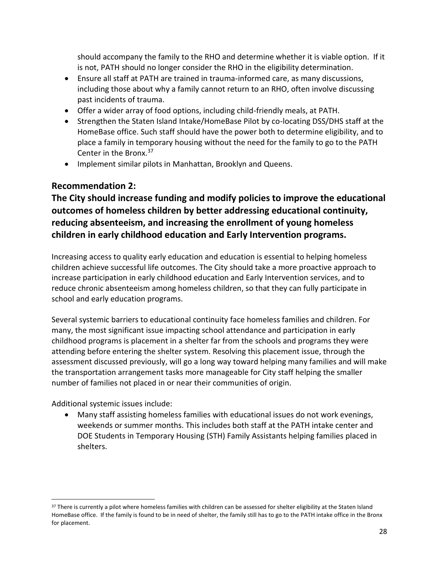should accompany the family to the RHO and determine whether it is viable option. If it is not, PATH should no longer consider the RHO in the eligibility determination.

- Ensure all staff at PATH are trained in trauma-informed care, as many discussions, including those about why a family cannot return to an RHO, often involve discussing past incidents of trauma.
- Offer a wider array of food options, including child-friendly meals, at PATH.
- Strengthen the Staten Island Intake/HomeBase Pilot by co-locating DSS/DHS staff at the HomeBase office. Such staff should have the power both to determine eligibility, and to place a family in temporary housing without the need for the family to go to the PATH Center in the Bronx.<sup>37</sup>
- Implement similar pilots in Manhattan, Brooklyn and Queens.

#### **Recommendation 2:**

**The City should increase funding and modify policies to improve the educational outcomes of homeless children by better addressing educational continuity, reducing absenteeism, and increasing the enrollment of young homeless children in early childhood education and Early Intervention programs.** 

Increasing access to quality early education and education is essential to helping homeless children achieve successful life outcomes. The City should take a more proactive approach to increase participation in early childhood education and Early Intervention services, and to reduce chronic absenteeism among homeless children, so that they can fully participate in school and early education programs.

Several systemic barriers to educational continuity face homeless families and children. For many, the most significant issue impacting school attendance and participation in early childhood programs is placement in a shelter far from the schools and programs they were attending before entering the shelter system. Resolving this placement issue, through the assessment discussed previously, will go a long way toward helping many families and will make the transportation arrangement tasks more manageable for City staff helping the smaller number of families not placed in or near their communities of origin.

Additional systemic issues include:

 $\overline{a}$ 

 Many staff assisting homeless families with educational issues do not work evenings, weekends or summer months. This includes both staff at the PATH intake center and DOE Students in Temporary Housing (STH) Family Assistants helping families placed in shelters.

<sup>&</sup>lt;sup>37</sup> There is currently a pilot where homeless families with children can be assessed for shelter eligibility at the Staten Island HomeBase office. If the family is found to be in need of shelter, the family still has to go to the PATH intake office in the Bronx for placement.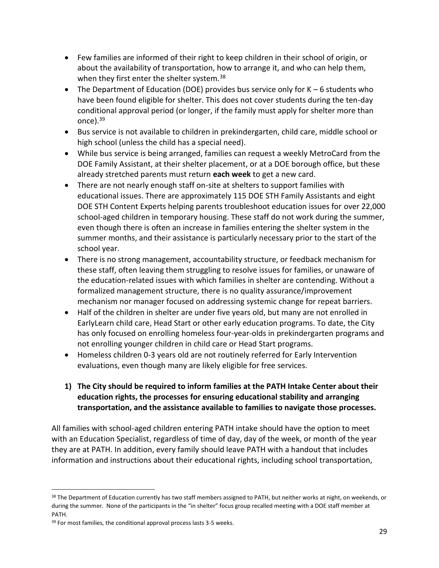- Few families are informed of their right to keep children in their school of origin, or about the availability of transportation, how to arrange it, and who can help them, when they first enter the shelter system.<sup>38</sup>
- The Department of Education (DOE) provides bus service only for K 6 students who have been found eligible for shelter. This does not cover students during the ten-day conditional approval period (or longer, if the family must apply for shelter more than once).<sup>39</sup>
- Bus service is not available to children in prekindergarten, child care, middle school or high school (unless the child has a special need).
- While bus service is being arranged, families can request a weekly MetroCard from the DOE Family Assistant, at their shelter placement, or at a DOE borough office, but these already stretched parents must return **each week** to get a new card.
- There are not nearly enough staff on-site at shelters to support families with educational issues. There are approximately 115 DOE STH Family Assistants and eight DOE STH Content Experts helping parents troubleshoot education issues for over 22,000 school-aged children in temporary housing. These staff do not work during the summer, even though there is often an increase in families entering the shelter system in the summer months, and their assistance is particularly necessary prior to the start of the school year.
- There is no strong management, accountability structure, or feedback mechanism for these staff, often leaving them struggling to resolve issues for families, or unaware of the education-related issues with which families in shelter are contending. Without a formalized management structure, there is no quality assurance/improvement mechanism nor manager focused on addressing systemic change for repeat barriers.
- Half of the children in shelter are under five years old, but many are not enrolled in EarlyLearn child care, Head Start or other early education programs. To date, the City has only focused on enrolling homeless four-year-olds in prekindergarten programs and not enrolling younger children in child care or Head Start programs.
- Homeless children 0-3 years old are not routinely referred for Early Intervention evaluations, even though many are likely eligible for free services.

#### **1) The City should be required to inform families at the PATH Intake Center about their education rights, the processes for ensuring educational stability and arranging transportation, and the assistance available to families to navigate those processes.**

All families with school-aged children entering PATH intake should have the option to meet with an Education Specialist, regardless of time of day, day of the week, or month of the year they are at PATH. In addition, every family should leave PATH with a handout that includes information and instructions about their educational rights, including school transportation,

 $\overline{\phantom{a}}$ 

<sup>&</sup>lt;sup>38</sup> The Department of Education currently has two staff members assigned to PATH, but neither works at night, on weekends, or during the summer. None of the participants in the "in shelter" focus group recalled meeting with a DOE staff member at PATH.

<sup>39</sup> For most families, the conditional approval process lasts 3-5 weeks.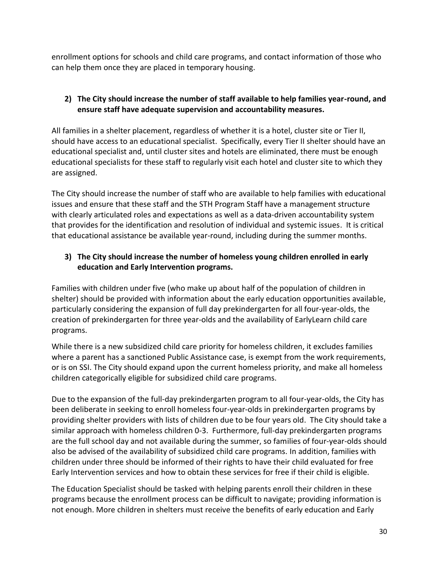enrollment options for schools and child care programs, and contact information of those who can help them once they are placed in temporary housing.

#### **2) The City should increase the number of staff available to help families year-round, and ensure staff have adequate supervision and accountability measures.**

All families in a shelter placement, regardless of whether it is a hotel, cluster site or Tier II, should have access to an educational specialist. Specifically, every Tier II shelter should have an educational specialist and, until cluster sites and hotels are eliminated, there must be enough educational specialists for these staff to regularly visit each hotel and cluster site to which they are assigned.

The City should increase the number of staff who are available to help families with educational issues and ensure that these staff and the STH Program Staff have a management structure with clearly articulated roles and expectations as well as a data-driven accountability system that provides for the identification and resolution of individual and systemic issues. It is critical that educational assistance be available year-round, including during the summer months.

#### **3) The City should increase the number of homeless young children enrolled in early education and Early Intervention programs.**

Families with children under five (who make up about half of the population of children in shelter) should be provided with information about the early education opportunities available, particularly considering the expansion of full day prekindergarten for all four-year-olds, the creation of prekindergarten for three year-olds and the availability of EarlyLearn child care programs.

While there is a new subsidized child care priority for homeless children, it excludes families where a parent has a sanctioned Public Assistance case, is exempt from the work requirements, or is on SSI. The City should expand upon the current homeless priority, and make all homeless children categorically eligible for subsidized child care programs.

Due to the expansion of the full-day prekindergarten program to all four-year-olds, the City has been deliberate in seeking to enroll homeless four-year-olds in prekindergarten programs by providing shelter providers with lists of children due to be four years old. The City should take a similar approach with homeless children 0-3. Furthermore, full-day prekindergarten programs are the full school day and not available during the summer, so families of four-year-olds should also be advised of the availability of subsidized child care programs. In addition, families with children under three should be informed of their rights to have their child evaluated for free Early Intervention services and how to obtain these services for free if their child is eligible.

The Education Specialist should be tasked with helping parents enroll their children in these programs because the enrollment process can be difficult to navigate; providing information is not enough. More children in shelters must receive the benefits of early education and Early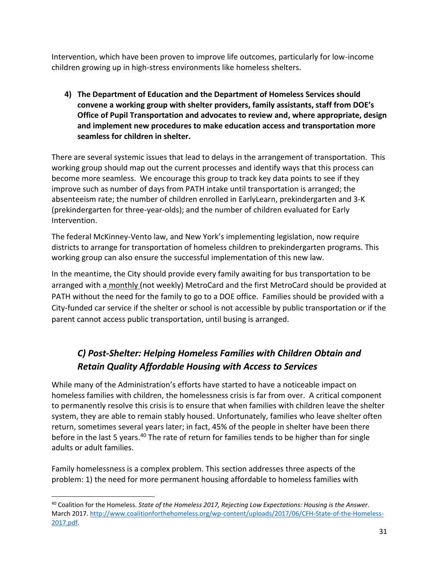Intervention, which have been proven to improve life outcomes, particularly for low-income children growing up in high-stress environments like homeless shelters.

**4) The Department of Education and the Department of Homeless Services should convene a working group with shelter providers, family assistants, staff from DOE's Office of Pupil Transportation and advocates to review and, where appropriate, design and implement new procedures to make education access and transportation more seamless for children in shelter***.*

There are several systemic issues that lead to delays in the arrangement of transportation. This working group should map out the current processes and identify ways that this process can become more seamless. We encourage this group to track key data points to see if they improve such as number of days from PATH intake until transportation is arranged; the absenteeism rate; the number of children enrolled in EarlyLearn, prekindergarten and 3-K (prekindergarten for three-year-olds); and the number of children evaluated for Early Intervention.

The federal McKinney-Vento law, and New York's implementing legislation, now require districts to arrange for transportation of homeless children to prekindergarten programs. This working group can also ensure the successful implementation of this new law.

In the meantime, the City should provide every family awaiting for bus transportation to be arranged with a monthly (not weekly) MetroCard and the first MetroCard should be provided at PATH without the need for the family to go to a DOE office. Families should be provided with a City-funded car service if the shelter or school is not accessible by public transportation or if the parent cannot access public transportation, until busing is arranged.

#### *C) Post-Shelter: Helping Homeless Families with Children Obtain and Retain Quality Affordable Housing with Access to Services*

While many of the Administration's efforts have started to have a noticeable impact on homeless families with children, the homelessness crisis is far from over. A critical component to permanently resolve this crisis is to ensure that when families with children leave the shelter system, they are able to remain stably housed. Unfortunately, families who leave shelter often return, sometimes several years later; in fact, 45% of the people in shelter have been there before in the last 5 years.<sup>40</sup> The rate of return for families tends to be higher than for single adults or adult families.

Family homelessness is a complex problem. This section addresses three aspects of the problem: 1) the need for more permanent housing affordable to homeless families with

l <sup>40</sup> Coalition for the Homeless. *State of the Homeless 2017, Rejecting Low Expectations: Housing is the Answer*. March 2017[. http://www.coalitionforthehomeless.org/wp-content/uploads/2017/06/CFH-State-of-the-Homeless-](http://www.coalitionforthehomeless.org/wp-content/uploads/2017/06/CFH-State-of-the-Homeless-2017.pdf)[2017.pdf.](http://www.coalitionforthehomeless.org/wp-content/uploads/2017/06/CFH-State-of-the-Homeless-2017.pdf)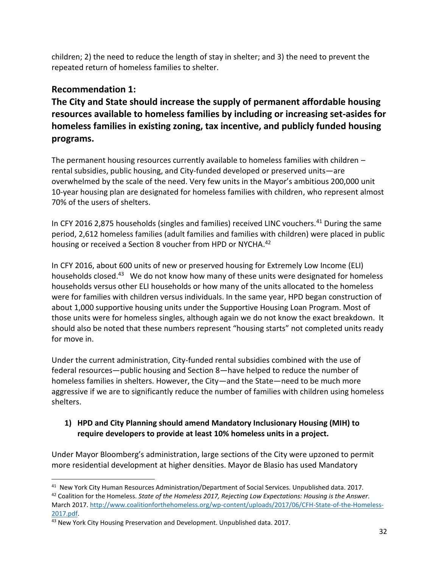children; 2) the need to reduce the length of stay in shelter; and 3) the need to prevent the repeated return of homeless families to shelter.

#### **Recommendation 1:**

**The City and State should increase the supply of permanent affordable housing resources available to homeless families by including or increasing set-asides for homeless families in existing zoning, tax incentive, and publicly funded housing programs.**

The permanent housing resources currently available to homeless families with children – rental subsidies, public housing, and City-funded developed or preserved units—are overwhelmed by the scale of the need. Very few units in the Mayor's ambitious 200,000 unit 10-year housing plan are designated for homeless families with children, who represent almost 70% of the users of shelters.

In CFY 2016 2,875 households (singles and families) received LINC vouchers.<sup>41</sup> During the same period, 2,612 homeless families (adult families and families with children) were placed in public housing or received a Section 8 voucher from HPD or NYCHA.<sup>42</sup>

In CFY 2016, about 600 units of new or preserved housing for Extremely Low Income (ELI) households closed.<sup>43</sup> We do not know how many of these units were designated for homeless households versus other ELI households or how many of the units allocated to the homeless were for families with children versus individuals. In the same year, HPD began construction of about 1,000 supportive housing units under the Supportive Housing Loan Program. Most of those units were for homeless singles, although again we do not know the exact breakdown. It should also be noted that these numbers represent "housing starts" not completed units ready for move in.

Under the current administration, City-funded rental subsidies combined with the use of federal resources—public housing and Section 8—have helped to reduce the number of homeless families in shelters. However, the City—and the State—need to be much more aggressive if we are to significantly reduce the number of families with children using homeless shelters.

#### **1) HPD and City Planning should amend Mandatory Inclusionary Housing (MIH) to require developers to provide at least 10% homeless units in a project.**

Under Mayor Bloomberg's administration, large sections of the City were upzoned to permit more residential development at higher densities. Mayor de Blasio has used Mandatory

 $\overline{a}$ <sup>41</sup> New York City Human Resources Administration/Department of Social Services. Unpublished data. 2017.

<sup>42</sup> Coalition for the Homeless. *State of the Homeless 2017, Rejecting Low Expectations: Housing is the Answer*. March 2017[. http://www.coalitionforthehomeless.org/wp-content/uploads/2017/06/CFH-State-of-the-Homeless-](http://www.coalitionforthehomeless.org/wp-content/uploads/2017/06/CFH-State-of-the-Homeless-2017.pdf)[2017.pdf.](http://www.coalitionforthehomeless.org/wp-content/uploads/2017/06/CFH-State-of-the-Homeless-2017.pdf)

<sup>43</sup> New York City Housing Preservation and Development. Unpublished data. 2017.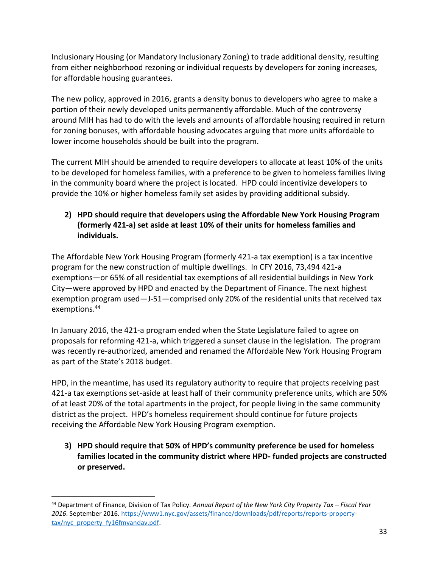Inclusionary Housing (or Mandatory Inclusionary Zoning) to trade additional density, resulting from either neighborhood rezoning or individual requests by developers for zoning increases, for affordable housing guarantees.

The new policy, approved in 2016, grants a density bonus to developers who agree to make a portion of their newly developed units permanently affordable. Much of the controversy around MIH has had to do with the levels and amounts of affordable housing required in return for zoning bonuses, with affordable housing advocates arguing that more units affordable to lower income households should be built into the program.

The current MIH should be amended to require developers to allocate at least 10% of the units to be developed for homeless families, with a preference to be given to homeless families living in the community board where the project is located. HPD could incentivize developers to provide the 10% or higher homeless family set asides by providing additional subsidy.

#### **2) HPD should require that developers using the Affordable New York Housing Program (formerly 421-a) set aside at least 10% of their units for homeless families and individuals.**

The Affordable New York Housing Program (formerly 421-a tax exemption) is a tax incentive program for the new construction of multiple dwellings. In CFY 2016, 73,494 421-a exemptions—or 65% of all residential tax exemptions of all residential buildings in New York City—were approved by HPD and enacted by the Department of Finance. The next highest exemption program used—J-51—comprised only 20% of the residential units that received tax exemptions.<sup>44</sup>

In January 2016, the 421-a program ended when the State Legislature failed to agree on proposals for reforming 421-a, which triggered a sunset clause in the legislation. The program was recently re-authorized, amended and renamed the Affordable New York Housing Program as part of the State's 2018 budget.

HPD, in the meantime, has used its regulatory authority to require that projects receiving past 421-a tax exemptions set-aside at least half of their community preference units, which are 50% of at least 20% of the total apartments in the project, for people living in the same community district as the project. HPD's homeless requirement should continue for future projects receiving the Affordable New York Housing Program exemption.

**3) HPD should require that 50% of HPD's community preference be used for homeless families located in the community district where HPD- funded projects are constructed or preserved.**

l <sup>44</sup> Department of Finance, Division of Tax Policy. *Annual Report of the New York City Property Tax – Fiscal Year 2016*. September 2016. [https://www1.nyc.gov/assets/finance/downloads/pdf/reports/reports-property](https://www1.nyc.gov/assets/finance/downloads/pdf/reports/reports-property-tax/nyc_property_fy16fmvandav.pdf)[tax/nyc\\_property\\_fy16fmvandav.pdf.](https://www1.nyc.gov/assets/finance/downloads/pdf/reports/reports-property-tax/nyc_property_fy16fmvandav.pdf)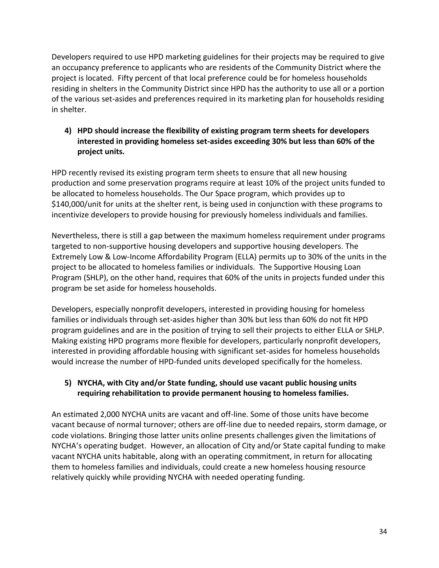Developers required to use HPD marketing guidelines for their projects may be required to give an occupancy preference to applicants who are residents of the Community District where the project is located. Fifty percent of that local preference could be for homeless households residing in shelters in the Community District since HPD has the authority to use all or a portion of the various set-asides and preferences required in its marketing plan for households residing in shelter.

**4) HPD should increase the flexibility of existing program term sheets for developers interested in providing homeless set-asides exceeding 30% but less than 60% of the project units.**

HPD recently revised its existing program term sheets to ensure that all new housing production and some preservation programs require at least 10% of the project units funded to be allocated to homeless households. The Our Space program, which provides up to \$140,000/unit for units at the shelter rent, is being used in conjunction with these programs to incentivize developers to provide housing for previously homeless individuals and families.

Nevertheless, there is still a gap between the maximum homeless requirement under programs targeted to non-supportive housing developers and supportive housing developers. The Extremely Low & Low-Income Affordability Program (ELLA) permits up to 30% of the units in the project to be allocated to homeless families or individuals. The Supportive Housing Loan Program (SHLP), on the other hand, requires that 60% of the units in projects funded under this program be set aside for homeless households.

Developers, especially nonprofit developers, interested in providing housing for homeless families or individuals through set-asides higher than 30% but less than 60% do not fit HPD program guidelines and are in the position of trying to sell their projects to either ELLA or SHLP. Making existing HPD programs more flexible for developers, particularly nonprofit developers, interested in providing affordable housing with significant set-asides for homeless households would increase the number of HPD-funded units developed specifically for the homeless.

#### **5) NYCHA, with City and/or State funding, should use vacant public housing units requiring rehabilitation to provide permanent housing to homeless families.**

An estimated 2,000 NYCHA units are vacant and off-line. Some of those units have become vacant because of normal turnover; others are off-line due to needed repairs, storm damage, or code violations. Bringing those latter units online presents challenges given the limitations of NYCHA's operating budget. However, an allocation of City and/or State capital funding to make vacant NYCHA units habitable, along with an operating commitment, in return for allocating them to homeless families and individuals, could create a new homeless housing resource relatively quickly while providing NYCHA with needed operating funding.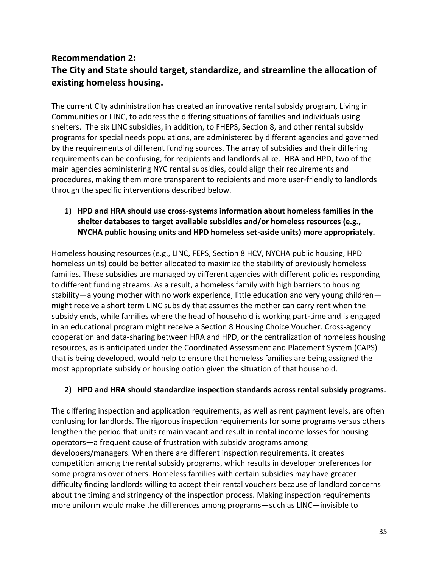#### **Recommendation 2: The City and State should target, standardize, and streamline the allocation of existing homeless housing.**

The current City administration has created an innovative rental subsidy program, Living in Communities or LINC, to address the differing situations of families and individuals using shelters. The six LINC subsidies, in addition, to FHEPS, Section 8, and other rental subsidy programs for special needs populations, are administered by different agencies and governed by the requirements of different funding sources. The array of subsidies and their differing requirements can be confusing, for recipients and landlords alike. HRA and HPD, two of the main agencies administering NYC rental subsidies, could align their requirements and procedures, making them more transparent to recipients and more user-friendly to landlords through the specific interventions described below.

#### **1) HPD and HRA should use cross-systems information about homeless families in the shelter databases to target available subsidies and/or homeless resources (e.g., NYCHA public housing units and HPD homeless set-aside units) more appropriately.**

Homeless housing resources (e.g., LINC, FEPS, Section 8 HCV, NYCHA public housing, HPD homeless units) could be better allocated to maximize the stability of previously homeless families. These subsidies are managed by different agencies with different policies responding to different funding streams. As a result, a homeless family with high barriers to housing stability—a young mother with no work experience, little education and very young children might receive a short term LINC subsidy that assumes the mother can carry rent when the subsidy ends, while families where the head of household is working part-time and is engaged in an educational program might receive a Section 8 Housing Choice Voucher. Cross-agency cooperation and data-sharing between HRA and HPD, or the centralization of homeless housing resources, as is anticipated under the Coordinated Assessment and Placement System (CAPS) that is being developed, would help to ensure that homeless families are being assigned the most appropriate subsidy or housing option given the situation of that household.

#### **2) HPD and HRA should standardize inspection standards across rental subsidy programs.**

The differing inspection and application requirements, as well as rent payment levels, are often confusing for landlords. The rigorous inspection requirements for some programs versus others lengthen the period that units remain vacant and result in rental income losses for housing operators—a frequent cause of frustration with subsidy programs among developers/managers. When there are different inspection requirements, it creates competition among the rental subsidy programs, which results in developer preferences for some programs over others. Homeless families with certain subsidies may have greater difficulty finding landlords willing to accept their rental vouchers because of landlord concerns about the timing and stringency of the inspection process. Making inspection requirements more uniform would make the differences among programs—such as LINC—invisible to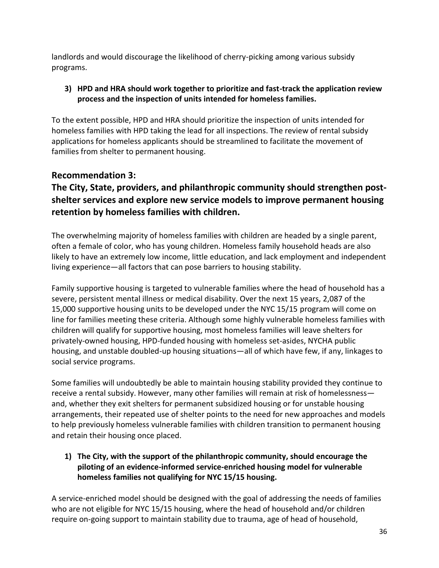landlords and would discourage the likelihood of cherry-picking among various subsidy programs.

#### **3) HPD and HRA should work together to prioritize and fast-track the application review process and the inspection of units intended for homeless families.**

To the extent possible, HPD and HRA should prioritize the inspection of units intended for homeless families with HPD taking the lead for all inspections. The review of rental subsidy applications for homeless applicants should be streamlined to facilitate the movement of families from shelter to permanent housing.

#### **Recommendation 3:**

#### **The City, State, providers, and philanthropic community should strengthen postshelter services and explore new service models to improve permanent housing retention by homeless families with children.**

The overwhelming majority of homeless families with children are headed by a single parent, often a female of color, who has young children. Homeless family household heads are also likely to have an extremely low income, little education, and lack employment and independent living experience—all factors that can pose barriers to housing stability.

Family supportive housing is targeted to vulnerable families where the head of household has a severe, persistent mental illness or medical disability. Over the next 15 years, 2,087 of the 15,000 supportive housing units to be developed under the NYC 15/15 program will come on line for families meeting these criteria. Although some highly vulnerable homeless families with children will qualify for supportive housing, most homeless families will leave shelters for privately-owned housing, HPD-funded housing with homeless set-asides, NYCHA public housing, and unstable doubled-up housing situations—all of which have few, if any, linkages to social service programs.

Some families will undoubtedly be able to maintain housing stability provided they continue to receive a rental subsidy. However, many other families will remain at risk of homelessness and, whether they exit shelters for permanent subsidized housing or for unstable housing arrangements, their repeated use of shelter points to the need for new approaches and models to help previously homeless vulnerable families with children transition to permanent housing and retain their housing once placed.

**1) The City, with the support of the philanthropic community, should encourage the piloting of an evidence-informed service-enriched housing model for vulnerable homeless families not qualifying for NYC 15/15 housing.**

A service-enriched model should be designed with the goal of addressing the needs of families who are not eligible for NYC 15/15 housing, where the head of household and/or children require on-going support to maintain stability due to trauma, age of head of household,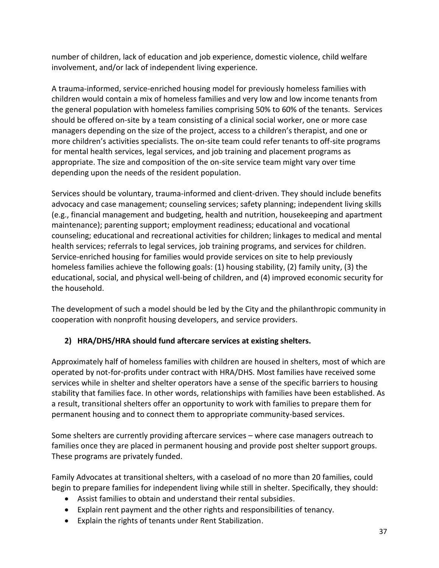number of children, lack of education and job experience, domestic violence, child welfare involvement, and/or lack of independent living experience.

A trauma-informed, service-enriched housing model for previously homeless families with children would contain a mix of homeless families and very low and low income tenants from the general population with homeless families comprising 50% to 60% of the tenants. Services should be offered on-site by a team consisting of a clinical social worker, one or more case managers depending on the size of the project, access to a children's therapist, and one or more children's activities specialists. The on-site team could refer tenants to off-site programs for mental health services, legal services, and job training and placement programs as appropriate. The size and composition of the on-site service team might vary over time depending upon the needs of the resident population.

Services should be voluntary, trauma-informed and client-driven. They should include benefits advocacy and case management; counseling services; safety planning; independent living skills (e.g., financial management and budgeting, health and nutrition, housekeeping and apartment maintenance); parenting support; employment readiness; educational and vocational counseling; educational and recreational activities for children; linkages to medical and mental health services; referrals to legal services, job training programs, and services for children. Service-enriched housing for families would provide services on site to help previously homeless families achieve the following goals: (1) housing stability, (2) family unity, (3) the educational, social, and physical well-being of children, and (4) improved economic security for the household.

The development of such a model should be led by the City and the philanthropic community in cooperation with nonprofit housing developers, and service providers.

#### **2) HRA/DHS/HRA should fund aftercare services at existing shelters.**

Approximately half of homeless families with children are housed in shelters, most of which are operated by not-for-profits under contract with HRA/DHS. Most families have received some services while in shelter and shelter operators have a sense of the specific barriers to housing stability that families face. In other words, relationships with families have been established. As a result, transitional shelters offer an opportunity to work with families to prepare them for permanent housing and to connect them to appropriate community-based services.

Some shelters are currently providing aftercare services – where case managers outreach to families once they are placed in permanent housing and provide post shelter support groups. These programs are privately funded.

Family Advocates at transitional shelters, with a caseload of no more than 20 families, could begin to prepare families for independent living while still in shelter. Specifically, they should:

- Assist families to obtain and understand their rental subsidies.
- Explain rent payment and the other rights and responsibilities of tenancy.
- Explain the rights of tenants under Rent Stabilization.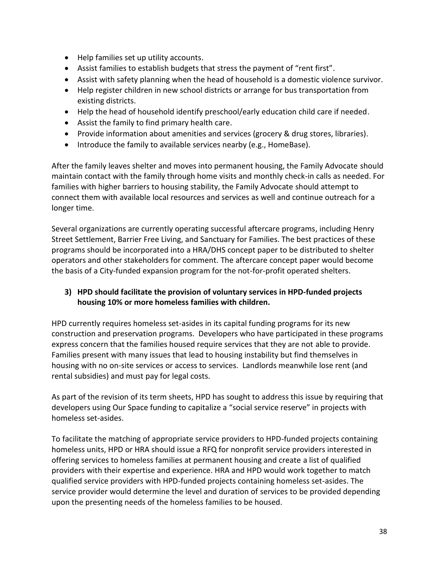- Help families set up utility accounts.
- Assist families to establish budgets that stress the payment of "rent first".
- Assist with safety planning when the head of household is a domestic violence survivor.
- Help register children in new school districts or arrange for bus transportation from existing districts.
- Help the head of household identify preschool/early education child care if needed.
- Assist the family to find primary health care.
- Provide information about amenities and services (grocery & drug stores, libraries).
- Introduce the family to available services nearby (e.g., HomeBase).

After the family leaves shelter and moves into permanent housing, the Family Advocate should maintain contact with the family through home visits and monthly check-in calls as needed. For families with higher barriers to housing stability, the Family Advocate should attempt to connect them with available local resources and services as well and continue outreach for a longer time.

Several organizations are currently operating successful aftercare programs, including Henry Street Settlement, Barrier Free Living, and Sanctuary for Families. The best practices of these programs should be incorporated into a HRA/DHS concept paper to be distributed to shelter operators and other stakeholders for comment. The aftercare concept paper would become the basis of a City-funded expansion program for the not-for-profit operated shelters.

#### **3) HPD should facilitate the provision of voluntary services in HPD-funded projects housing 10% or more homeless families with children.**

HPD currently requires homeless set-asides in its capital funding programs for its new construction and preservation programs. Developers who have participated in these programs express concern that the families housed require services that they are not able to provide. Families present with many issues that lead to housing instability but find themselves in housing with no on-site services or access to services. Landlords meanwhile lose rent (and rental subsidies) and must pay for legal costs.

As part of the revision of its term sheets, HPD has sought to address this issue by requiring that developers using Our Space funding to capitalize a "social service reserve" in projects with homeless set-asides.

To facilitate the matching of appropriate service providers to HPD-funded projects containing homeless units, HPD or HRA should issue a RFQ for nonprofit service providers interested in offering services to homeless families at permanent housing and create a list of qualified providers with their expertise and experience. HRA and HPD would work together to match qualified service providers with HPD-funded projects containing homeless set-asides. The service provider would determine the level and duration of services to be provided depending upon the presenting needs of the homeless families to be housed.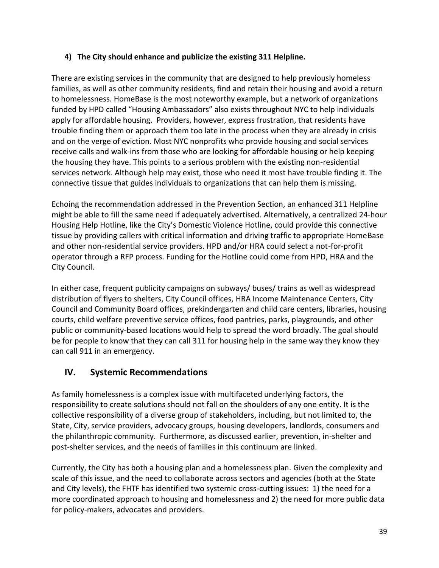#### **4) The City should enhance and publicize the existing 311 Helpline.**

There are existing services in the community that are designed to help previously homeless families, as well as other community residents, find and retain their housing and avoid a return to homelessness. HomeBase is the most noteworthy example, but a network of organizations funded by HPD called "Housing Ambassadors" also exists throughout NYC to help individuals apply for affordable housing. Providers, however, express frustration, that residents have trouble finding them or approach them too late in the process when they are already in crisis and on the verge of eviction. Most NYC nonprofits who provide housing and social services receive calls and walk-ins from those who are looking for affordable housing or help keeping the housing they have. This points to a serious problem with the existing non-residential services network. Although help may exist, those who need it most have trouble finding it. The connective tissue that guides individuals to organizations that can help them is missing.

Echoing the recommendation addressed in the Prevention Section, an enhanced 311 Helpline might be able to fill the same need if adequately advertised. Alternatively, a centralized 24-hour Housing Help Hotline, like the City's Domestic Violence Hotline, could provide this connective tissue by providing callers with critical information and driving traffic to appropriate HomeBase and other non-residential service providers. HPD and/or HRA could select a not-for-profit operator through a RFP process. Funding for the Hotline could come from HPD, HRA and the City Council.

In either case, frequent publicity campaigns on subways/ buses/ trains as well as widespread distribution of flyers to shelters, City Council offices, HRA Income Maintenance Centers, City Council and Community Board offices, prekindergarten and child care centers, libraries, housing courts, child welfare preventive service offices, food pantries, parks, playgrounds, and other public or community-based locations would help to spread the word broadly. The goal should be for people to know that they can call 311 for housing help in the same way they know they can call 911 in an emergency.

#### **IV. Systemic Recommendations**

As family homelessness is a complex issue with multifaceted underlying factors, the responsibility to create solutions should not fall on the shoulders of any one entity. It is the collective responsibility of a diverse group of stakeholders, including, but not limited to, the State, City, service providers, advocacy groups, housing developers, landlords, consumers and the philanthropic community. Furthermore, as discussed earlier, prevention, in-shelter and post-shelter services, and the needs of families in this continuum are linked.

Currently, the City has both a housing plan and a homelessness plan. Given the complexity and scale of this issue, and the need to collaborate across sectors and agencies (both at the State and City levels), the FHTF has identified two systemic cross-cutting issues: 1) the need for a more coordinated approach to housing and homelessness and 2) the need for more public data for policy-makers, advocates and providers.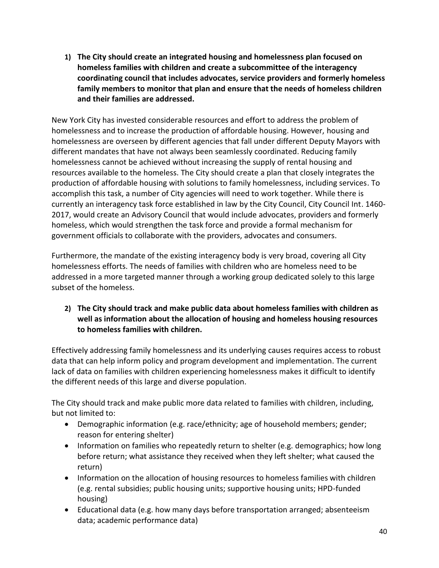**1) The City should create an integrated housing and homelessness plan focused on homeless families with children and create a subcommittee of the interagency coordinating council that includes advocates, service providers and formerly homeless family members to monitor that plan and ensure that the needs of homeless children and their families are addressed.**

New York City has invested considerable resources and effort to address the problem of homelessness and to increase the production of affordable housing. However, housing and homelessness are overseen by different agencies that fall under different Deputy Mayors with different mandates that have not always been seamlessly coordinated. Reducing family homelessness cannot be achieved without increasing the supply of rental housing and resources available to the homeless. The City should create a plan that closely integrates the production of affordable housing with solutions to family homelessness, including services. To accomplish this task, a number of City agencies will need to work together. While there is currently an interagency task force established in law by the City Council, City Council Int. 1460- 2017, would create an Advisory Council that would include advocates, providers and formerly homeless, which would strengthen the task force and provide a formal mechanism for government officials to collaborate with the providers, advocates and consumers.

Furthermore, the mandate of the existing interagency body is very broad, covering all City homelessness efforts. The needs of families with children who are homeless need to be addressed in a more targeted manner through a working group dedicated solely to this large subset of the homeless.

#### **2) The City should track and make public data about homeless families with children as well as information about the allocation of housing and homeless housing resources to homeless families with children.**

Effectively addressing family homelessness and its underlying causes requires access to robust data that can help inform policy and program development and implementation. The current lack of data on families with children experiencing homelessness makes it difficult to identify the different needs of this large and diverse population.

The City should track and make public more data related to families with children, including, but not limited to:

- Demographic information (e.g. race/ethnicity; age of household members; gender; reason for entering shelter)
- Information on families who repeatedly return to shelter (e.g. demographics; how long before return; what assistance they received when they left shelter; what caused the return)
- Information on the allocation of housing resources to homeless families with children (e.g. rental subsidies; public housing units; supportive housing units; HPD-funded housing)
- Educational data (e.g. how many days before transportation arranged; absenteeism data; academic performance data)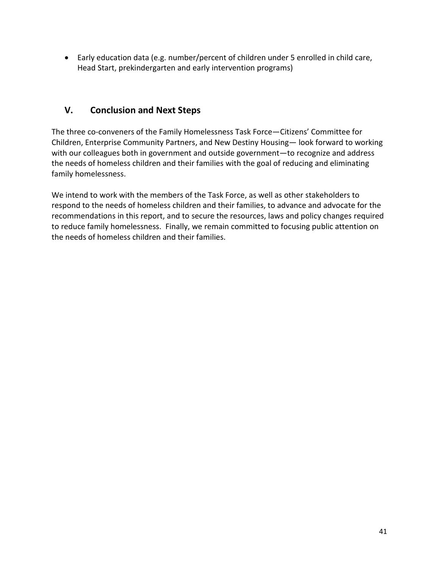Early education data (e.g. number/percent of children under 5 enrolled in child care, Head Start, prekindergarten and early intervention programs)

#### **V. Conclusion and Next Steps**

The three co-conveners of the Family Homelessness Task Force—Citizens' Committee for Children, Enterprise Community Partners, and New Destiny Housing— look forward to working with our colleagues both in government and outside government—to recognize and address the needs of homeless children and their families with the goal of reducing and eliminating family homelessness.

We intend to work with the members of the Task Force, as well as other stakeholders to respond to the needs of homeless children and their families, to advance and advocate for the recommendations in this report, and to secure the resources, laws and policy changes required to reduce family homelessness. Finally, we remain committed to focusing public attention on the needs of homeless children and their families.